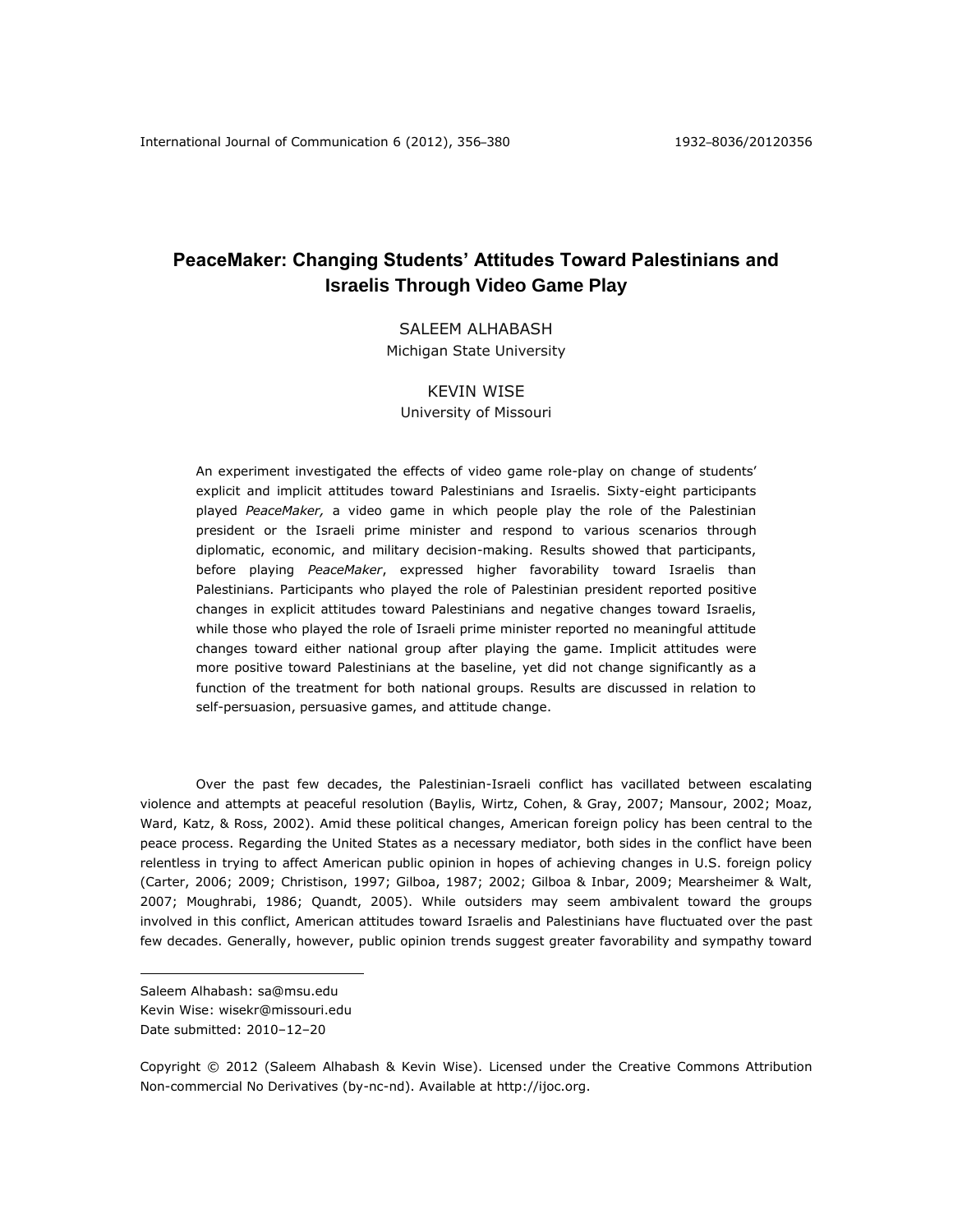# **PeaceMaker: Changing Students' Attitudes Toward Palestinians and Israelis Through Video Game Play**

# SALEEM ALHABASH Michigan State University

# KEVIN WISE

University of Missouri

An experiment investigated the effects of video game role-play on change of students' explicit and implicit attitudes toward Palestinians and Israelis. Sixty-eight participants played *PeaceMaker,* a video game in which people play the role of the Palestinian president or the Israeli prime minister and respond to various scenarios through diplomatic, economic, and military decision-making. Results showed that participants, before playing *PeaceMaker*, expressed higher favorability toward Israelis than Palestinians. Participants who played the role of Palestinian president reported positive changes in explicit attitudes toward Palestinians and negative changes toward Israelis, while those who played the role of Israeli prime minister reported no meaningful attitude changes toward either national group after playing the game. Implicit attitudes were more positive toward Palestinians at the baseline, yet did not change significantly as a function of the treatment for both national groups. Results are discussed in relation to self-persuasion, persuasive games, and attitude change.

Over the past few decades, the Palestinian-Israeli conflict has vacillated between escalating violence and attempts at peaceful resolution (Baylis, Wirtz, Cohen, & Gray, 2007; Mansour, 2002; Moaz, Ward, Katz, & Ross, 2002). Amid these political changes, American foreign policy has been central to the peace process. Regarding the United States as a necessary mediator, both sides in the conflict have been relentless in trying to affect American public opinion in hopes of achieving changes in U.S. foreign policy (Carter, 2006; 2009; Christison, 1997; Gilboa, 1987; 2002; Gilboa & Inbar, 2009; Mearsheimer & Walt, 2007; Moughrabi, 1986; Quandt, 2005). While outsiders may seem ambivalent toward the groups involved in this conflict, American attitudes toward Israelis and Palestinians have fluctuated over the past few decades. Generally, however, public opinion trends suggest greater favorability and sympathy toward

 $\overline{a}$ 

Saleem Alhabash: sa@msu.edu Kevin Wise: wisekr@missouri.edu Date submitted: 2010–12–20

Copyright © 2012 (Saleem Alhabash & Kevin Wise). Licensed under the Creative Commons Attribution Non-commercial No Derivatives (by-nc-nd). Available at http://ijoc.org.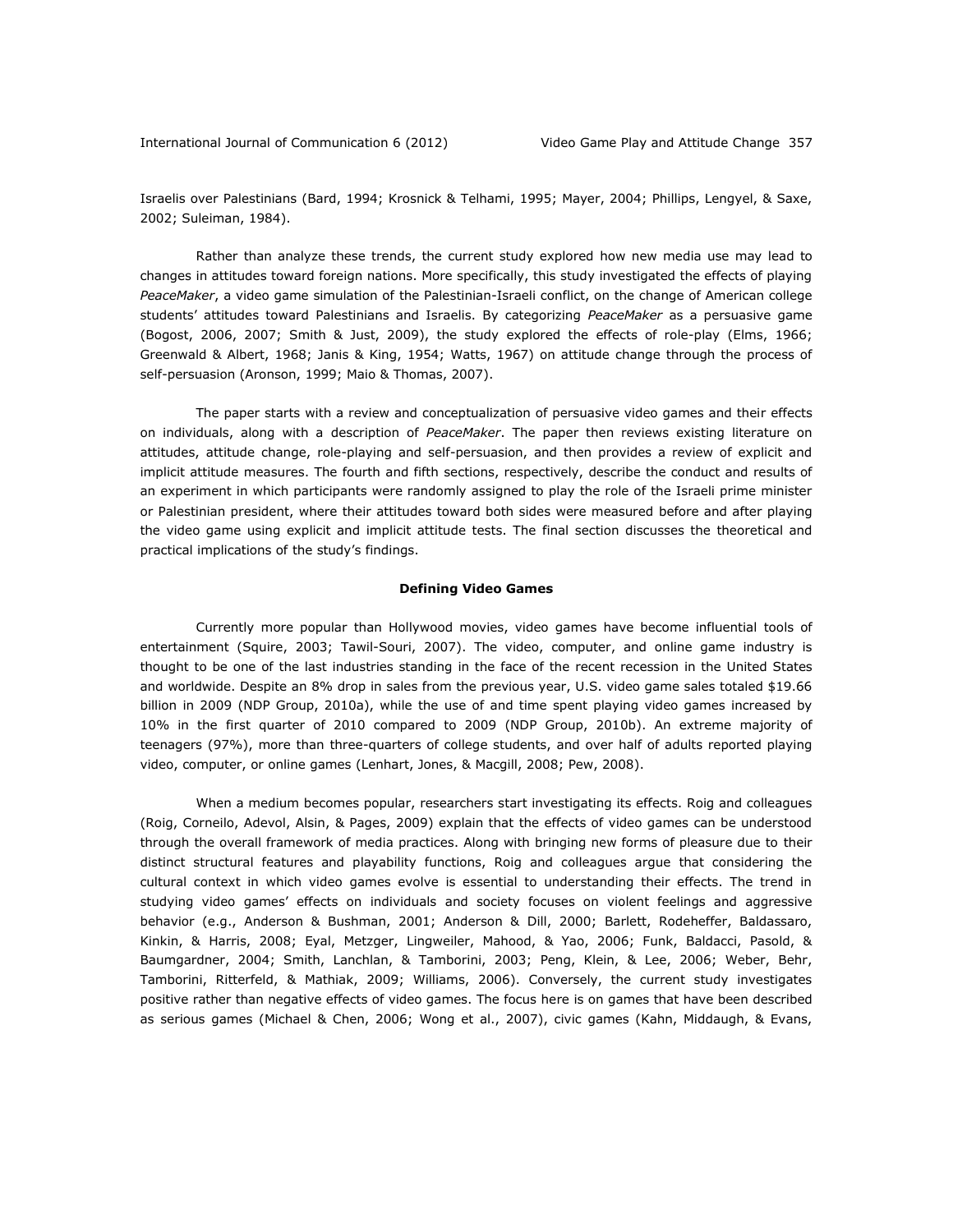Israelis over Palestinians (Bard, 1994; Krosnick & Telhami, 1995; Mayer, 2004; Phillips, Lengyel, & Saxe, 2002; Suleiman, 1984).

Rather than analyze these trends, the current study explored how new media use may lead to changes in attitudes toward foreign nations. More specifically, this study investigated the effects of playing *PeaceMaker*, a video game simulation of the Palestinian-Israeli conflict, on the change of American college students' attitudes toward Palestinians and Israelis. By categorizing *PeaceMaker* as a persuasive game (Bogost, 2006, 2007; Smith & Just, 2009), the study explored the effects of role-play (Elms, 1966; Greenwald & Albert, 1968; Janis & King, 1954; Watts, 1967) on attitude change through the process of self-persuasion (Aronson, 1999; Maio & Thomas, 2007).

The paper starts with a review and conceptualization of persuasive video games and their effects on individuals, along with a description of *PeaceMaker*. The paper then reviews existing literature on attitudes, attitude change, role-playing and self-persuasion, and then provides a review of explicit and implicit attitude measures. The fourth and fifth sections, respectively, describe the conduct and results of an experiment in which participants were randomly assigned to play the role of the Israeli prime minister or Palestinian president, where their attitudes toward both sides were measured before and after playing the video game using explicit and implicit attitude tests. The final section discusses the theoretical and practical implications of the study's findings.

# **Defining Video Games**

Currently more popular than Hollywood movies, video games have become influential tools of entertainment (Squire, 2003; Tawil-Souri, 2007). The video, computer, and online game industry is thought to be one of the last industries standing in the face of the recent recession in the United States and worldwide. Despite an 8% drop in sales from the previous year, U.S. video game sales totaled \$19.66 billion in 2009 (NDP Group, 2010a), while the use of and time spent playing video games increased by 10% in the first quarter of 2010 compared to 2009 (NDP Group, 2010b). An extreme majority of teenagers (97%), more than three-quarters of college students, and over half of adults reported playing video, computer, or online games (Lenhart, Jones, & Macgill, 2008; Pew, 2008).

When a medium becomes popular, researchers start investigating its effects. Roig and colleagues (Roig, Corneilo, Adevol, Alsin, & Pages, 2009) explain that the effects of video games can be understood through the overall framework of media practices. Along with bringing new forms of pleasure due to their distinct structural features and playability functions, Roig and colleagues argue that considering the cultural context in which video games evolve is essential to understanding their effects. The trend in studying video games' effects on individuals and society focuses on violent feelings and aggressive behavior (e.g., Anderson & Bushman, 2001; Anderson & Dill, 2000; Barlett, Rodeheffer, Baldassaro, Kinkin, & Harris, 2008; Eyal, Metzger, Lingweiler, Mahood, & Yao, 2006; Funk, Baldacci, Pasold, & Baumgardner, 2004; Smith, Lanchlan, & Tamborini, 2003; Peng, Klein, & Lee, 2006; Weber, Behr, Tamborini, Ritterfeld, & Mathiak, 2009; Williams, 2006). Conversely, the current study investigates positive rather than negative effects of video games. The focus here is on games that have been described as serious games (Michael & Chen, 2006; Wong et al., 2007), civic games (Kahn, Middaugh, & Evans,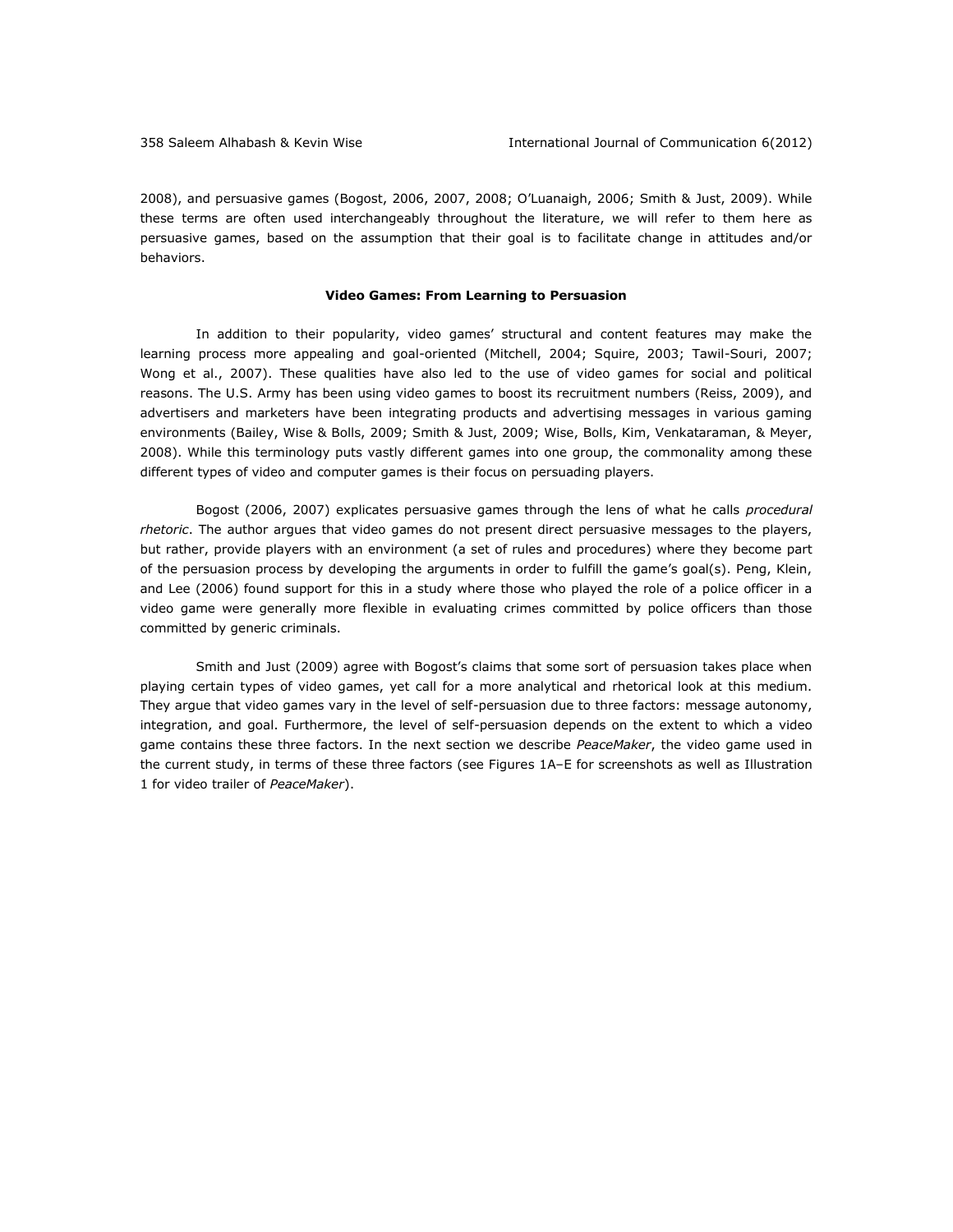2008), and persuasive games (Bogost, 2006, 2007, 2008; O'Luanaigh, 2006; Smith & Just, 2009). While these terms are often used interchangeably throughout the literature, we will refer to them here as persuasive games, based on the assumption that their goal is to facilitate change in attitudes and/or behaviors.

#### **Video Games: From Learning to Persuasion**

In addition to their popularity, video games' structural and content features may make the learning process more appealing and goal-oriented (Mitchell, 2004; Squire, 2003; Tawil-Souri, 2007; Wong et al., 2007). These qualities have also led to the use of video games for social and political reasons. The U.S. Army has been using video games to boost its recruitment numbers (Reiss, 2009), and advertisers and marketers have been integrating products and advertising messages in various gaming environments (Bailey, Wise & Bolls, 2009; Smith & Just, 2009; Wise, Bolls, Kim, Venkataraman, & Meyer, 2008). While this terminology puts vastly different games into one group, the commonality among these different types of video and computer games is their focus on persuading players.

Bogost (2006, 2007) explicates persuasive games through the lens of what he calls *procedural rhetoric*. The author argues that video games do not present direct persuasive messages to the players, but rather, provide players with an environment (a set of rules and procedures) where they become part of the persuasion process by developing the arguments in order to fulfill the game's goal(s). Peng, Klein, and Lee (2006) found support for this in a study where those who played the role of a police officer in a video game were generally more flexible in evaluating crimes committed by police officers than those committed by generic criminals.

Smith and Just (2009) agree with Bogost's claims that some sort of persuasion takes place when playing certain types of video games, yet call for a more analytical and rhetorical look at this medium. They argue that video games vary in the level of self-persuasion due to three factors: message autonomy, integration, and goal. Furthermore, the level of self-persuasion depends on the extent to which a video game contains these three factors. In the next section we describe *PeaceMaker*, the video game used in the current study, in terms of these three factors (see Figures 1A–E for screenshots as well as Illustration 1 for video trailer of *PeaceMaker*).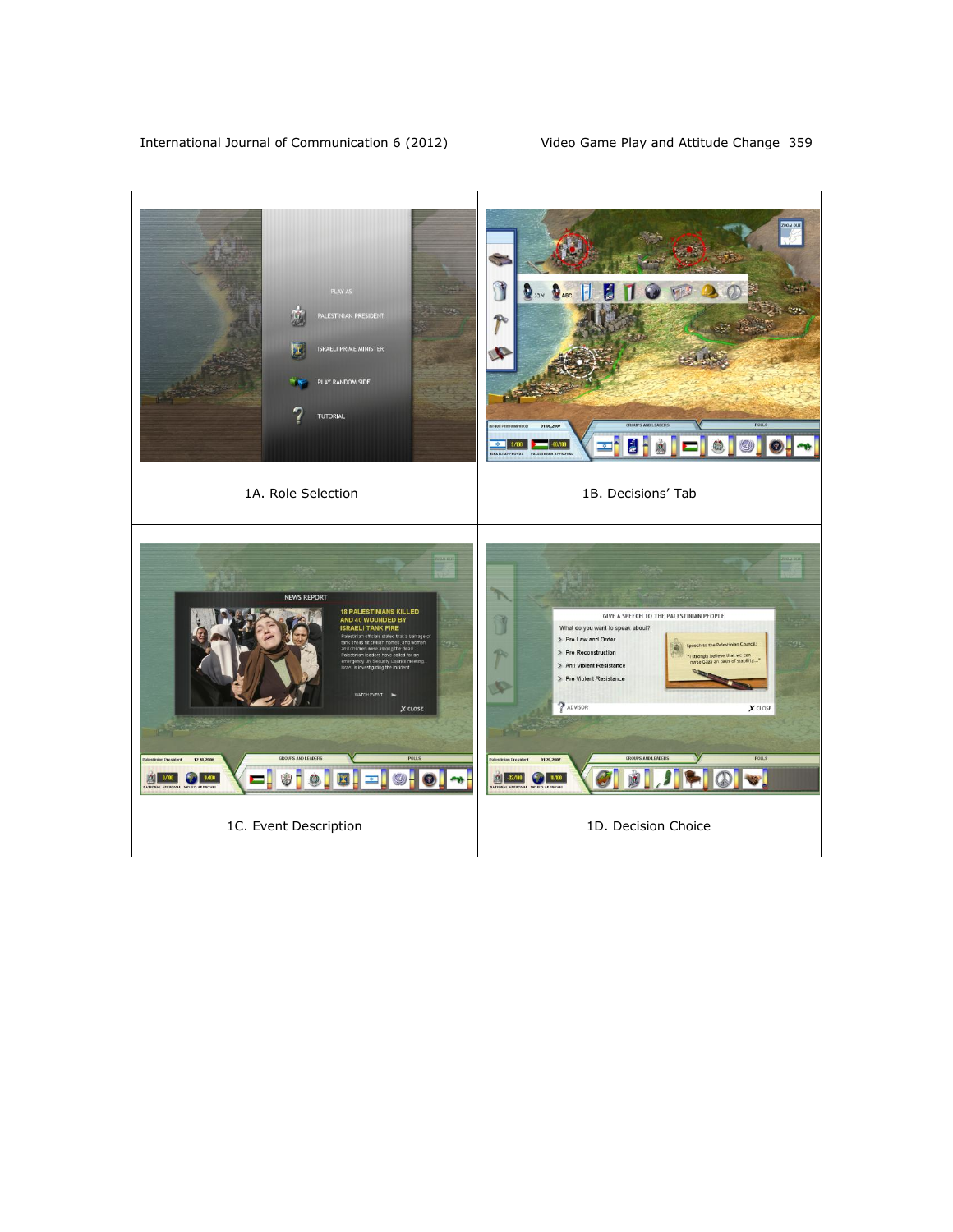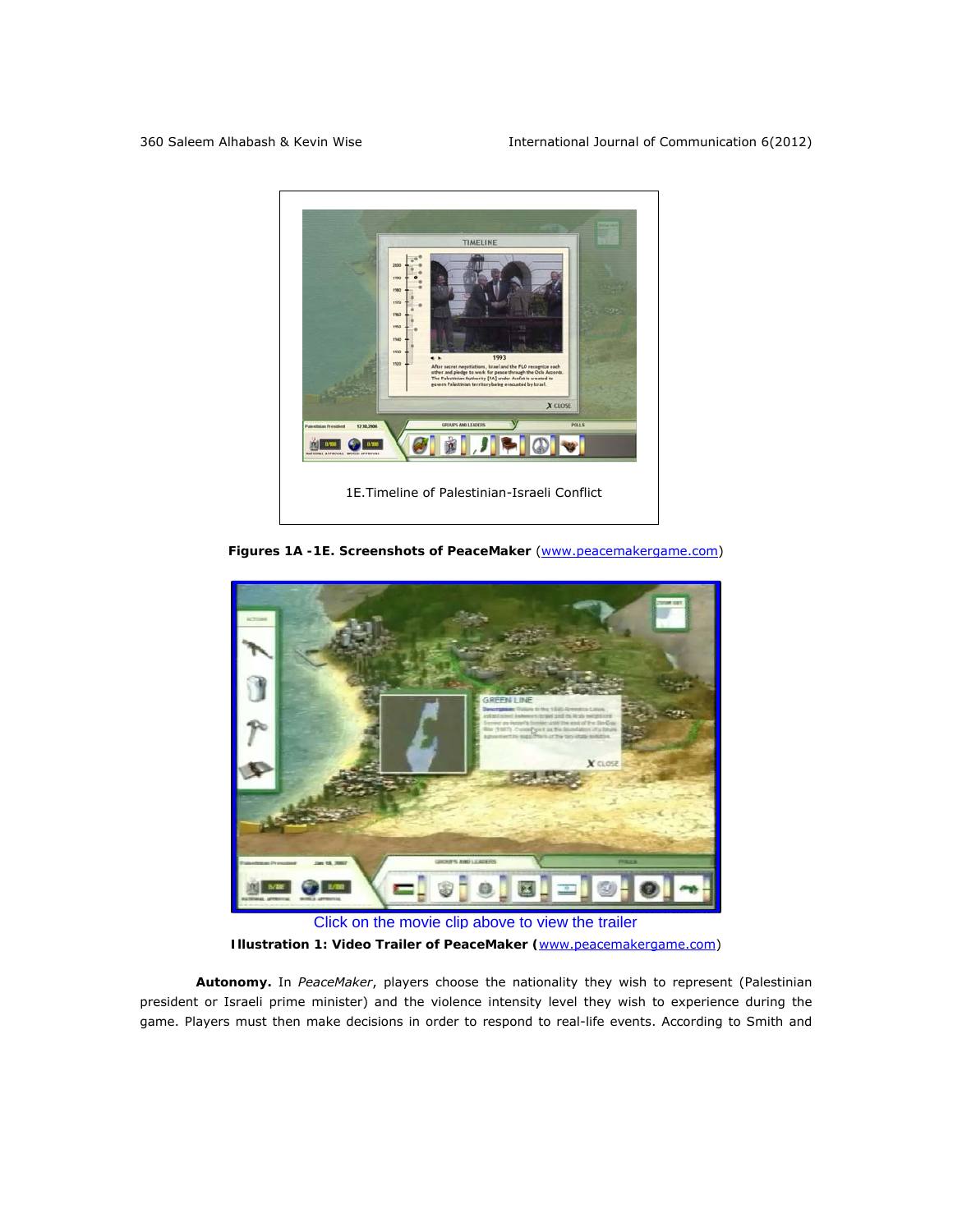

*Figures 1A -1E.* **Screenshots of** *PeaceMaker* (www.peacemakergame.com)



*Illustration 1:* **Video Trailer of** *PeaceMaker* **(**www.peacemakergame.com)

**Autonomy.** In *PeaceMaker*, players choose the nationality they wish to represent (Palestinian president or Israeli prime minister) and the violence intensity level they wish to experience during the game. Players must then make decisions in order to respond to real-life events. According to Smith and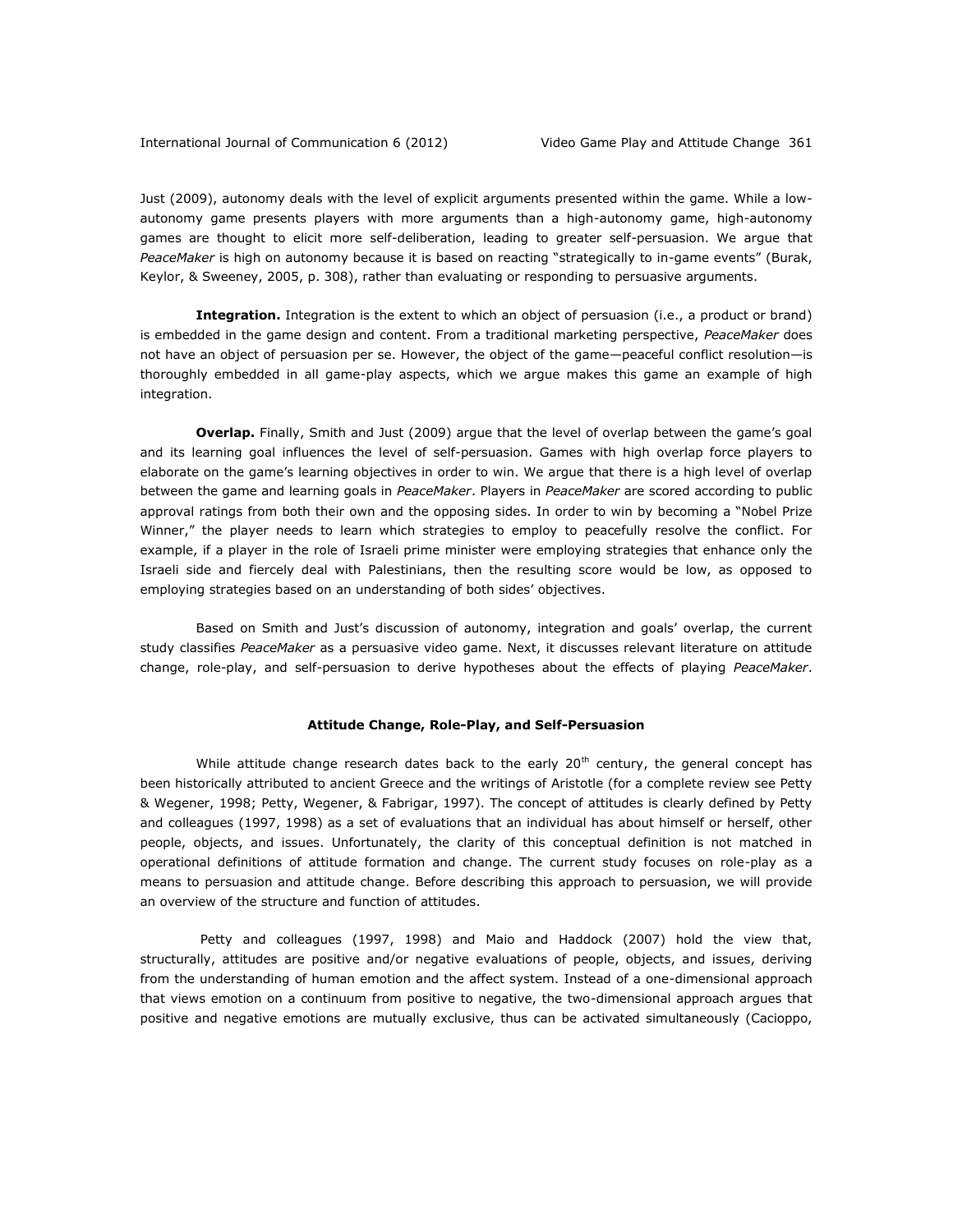Just (2009), autonomy deals with the level of explicit arguments presented within the game. While a lowautonomy game presents players with more arguments than a high-autonomy game, high-autonomy games are thought to elicit more self-deliberation, leading to greater self-persuasion. We argue that *PeaceMaker* is high on autonomy because it is based on reacting "strategically to in-game events" (Burak, Keylor, & Sweeney, 2005, p. 308), rather than evaluating or responding to persuasive arguments.

**Integration.** Integration is the extent to which an object of persuasion (i.e., a product or brand) is embedded in the game design and content. From a traditional marketing perspective, *PeaceMaker* does not have an object of persuasion per se. However, the object of the game—peaceful conflict resolution—is thoroughly embedded in all game-play aspects, which we argue makes this game an example of high integration.

**Overlap.** Finally, Smith and Just (2009) argue that the level of overlap between the game's goal and its learning goal influences the level of self-persuasion. Games with high overlap force players to elaborate on the game's learning objectives in order to win. We argue that there is a high level of overlap between the game and learning goals in *PeaceMaker*. Players in *PeaceMaker* are scored according to public approval ratings from both their own and the opposing sides. In order to win by becoming a "Nobel Prize Winner," the player needs to learn which strategies to employ to peacefully resolve the conflict. For example, if a player in the role of Israeli prime minister were employing strategies that enhance only the Israeli side and fiercely deal with Palestinians, then the resulting score would be low, as opposed to employing strategies based on an understanding of both sides' objectives.

Based on Smith and Just's discussion of autonomy, integration and goals' overlap, the current study classifies *PeaceMaker* as a persuasive video game. Next, it discusses relevant literature on attitude change, role-play, and self-persuasion to derive hypotheses about the effects of playing *PeaceMaker*.

#### **Attitude Change, Role-Play, and Self-Persuasion**

While attitude change research dates back to the early  $20<sup>th</sup>$  century, the general concept has been historically attributed to ancient Greece and the writings of Aristotle (for a complete review see Petty & Wegener, 1998; Petty, Wegener, & Fabrigar, 1997). The concept of attitudes is clearly defined by Petty and colleagues (1997, 1998) as a set of evaluations that an individual has about himself or herself, other people, objects, and issues. Unfortunately, the clarity of this conceptual definition is not matched in operational definitions of attitude formation and change. The current study focuses on role-play as a means to persuasion and attitude change. Before describing this approach to persuasion, we will provide an overview of the structure and function of attitudes.

Petty and colleagues (1997, 1998) and Maio and Haddock (2007) hold the view that, structurally, attitudes are positive and/or negative evaluations of people, objects, and issues, deriving from the understanding of human emotion and the affect system. Instead of a one-dimensional approach that views emotion on a continuum from positive to negative, the two-dimensional approach argues that positive and negative emotions are mutually exclusive, thus can be activated simultaneously (Cacioppo,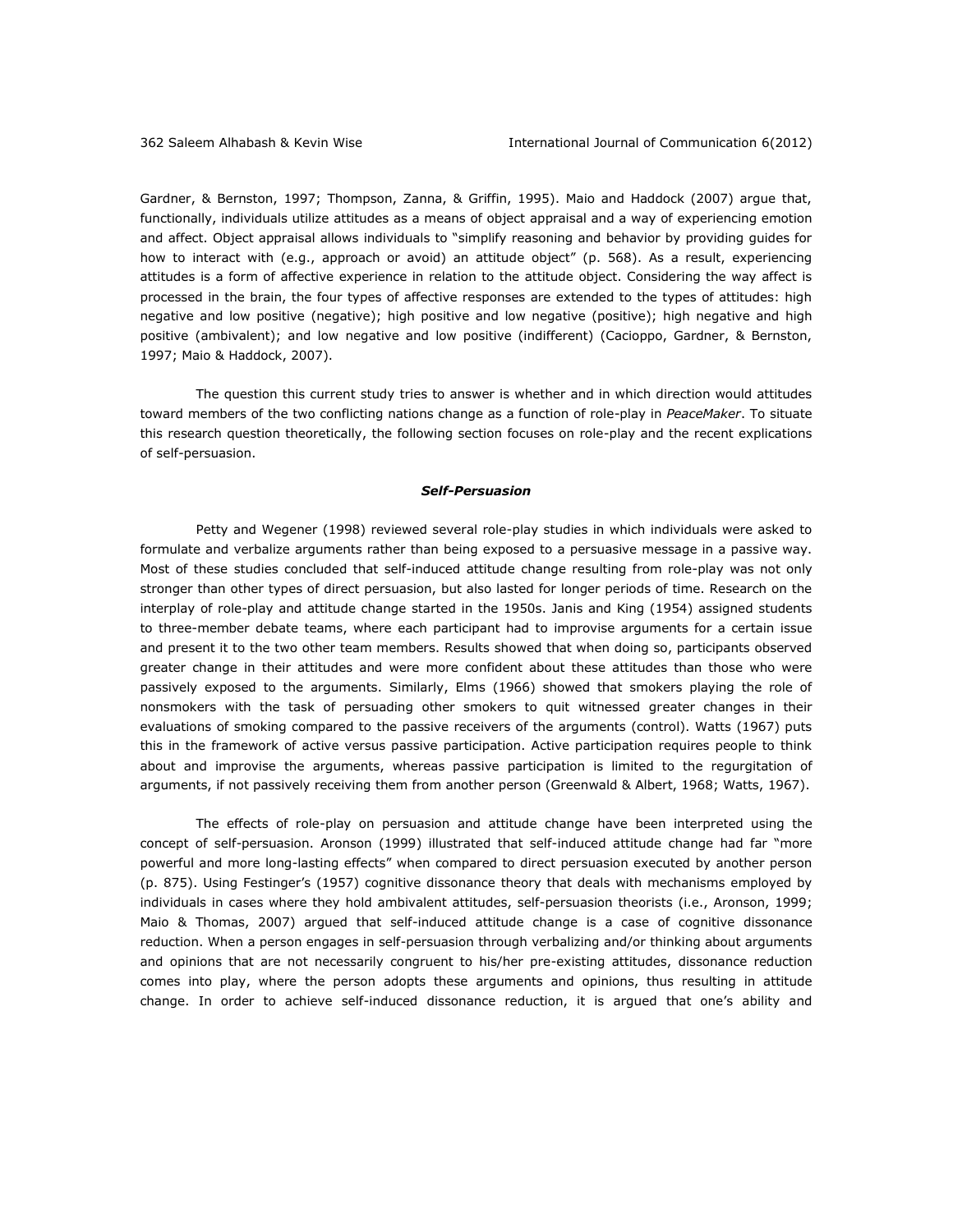Gardner, & Bernston, 1997; Thompson, Zanna, & Griffin, 1995). Maio and Haddock (2007) argue that, functionally, individuals utilize attitudes as a means of object appraisal and a way of experiencing emotion and affect. Object appraisal allows individuals to "simplify reasoning and behavior by providing guides for how to interact with (e.g., approach or avoid) an attitude object" (p. 568). As a result, experiencing attitudes is a form of affective experience in relation to the attitude object. Considering the way affect is processed in the brain, the four types of affective responses are extended to the types of attitudes: high negative and low positive (negative); high positive and low negative (positive); high negative and high positive (ambivalent); and low negative and low positive (indifferent) (Cacioppo, Gardner, & Bernston, 1997; Maio & Haddock, 2007).

The question this current study tries to answer is whether and in which direction would attitudes toward members of the two conflicting nations change as a function of role-play in *PeaceMaker*. To situate this research question theoretically, the following section focuses on role-play and the recent explications of self-persuasion.

#### *Self-Persuasion*

Petty and Wegener (1998) reviewed several role-play studies in which individuals were asked to formulate and verbalize arguments rather than being exposed to a persuasive message in a passive way. Most of these studies concluded that self-induced attitude change resulting from role-play was not only stronger than other types of direct persuasion, but also lasted for longer periods of time. Research on the interplay of role-play and attitude change started in the 1950s. Janis and King (1954) assigned students to three-member debate teams, where each participant had to improvise arguments for a certain issue and present it to the two other team members. Results showed that when doing so, participants observed greater change in their attitudes and were more confident about these attitudes than those who were passively exposed to the arguments. Similarly, Elms (1966) showed that smokers playing the role of nonsmokers with the task of persuading other smokers to quit witnessed greater changes in their evaluations of smoking compared to the passive receivers of the arguments (control). Watts (1967) puts this in the framework of active versus passive participation. Active participation requires people to think about and improvise the arguments, whereas passive participation is limited to the regurgitation of arguments, if not passively receiving them from another person (Greenwald & Albert, 1968; Watts, 1967).

The effects of role-play on persuasion and attitude change have been interpreted using the concept of self-persuasion. Aronson (1999) illustrated that self-induced attitude change had far "more powerful and more long-lasting effects" when compared to direct persuasion executed by another person (p. 875). Using Festinger's (1957) cognitive dissonance theory that deals with mechanisms employed by individuals in cases where they hold ambivalent attitudes, self-persuasion theorists (i.e., Aronson, 1999; Maio & Thomas, 2007) argued that self-induced attitude change is a case of cognitive dissonance reduction. When a person engages in self-persuasion through verbalizing and/or thinking about arguments and opinions that are not necessarily congruent to his/her pre-existing attitudes, dissonance reduction comes into play, where the person adopts these arguments and opinions, thus resulting in attitude change. In order to achieve self-induced dissonance reduction, it is argued that one's ability and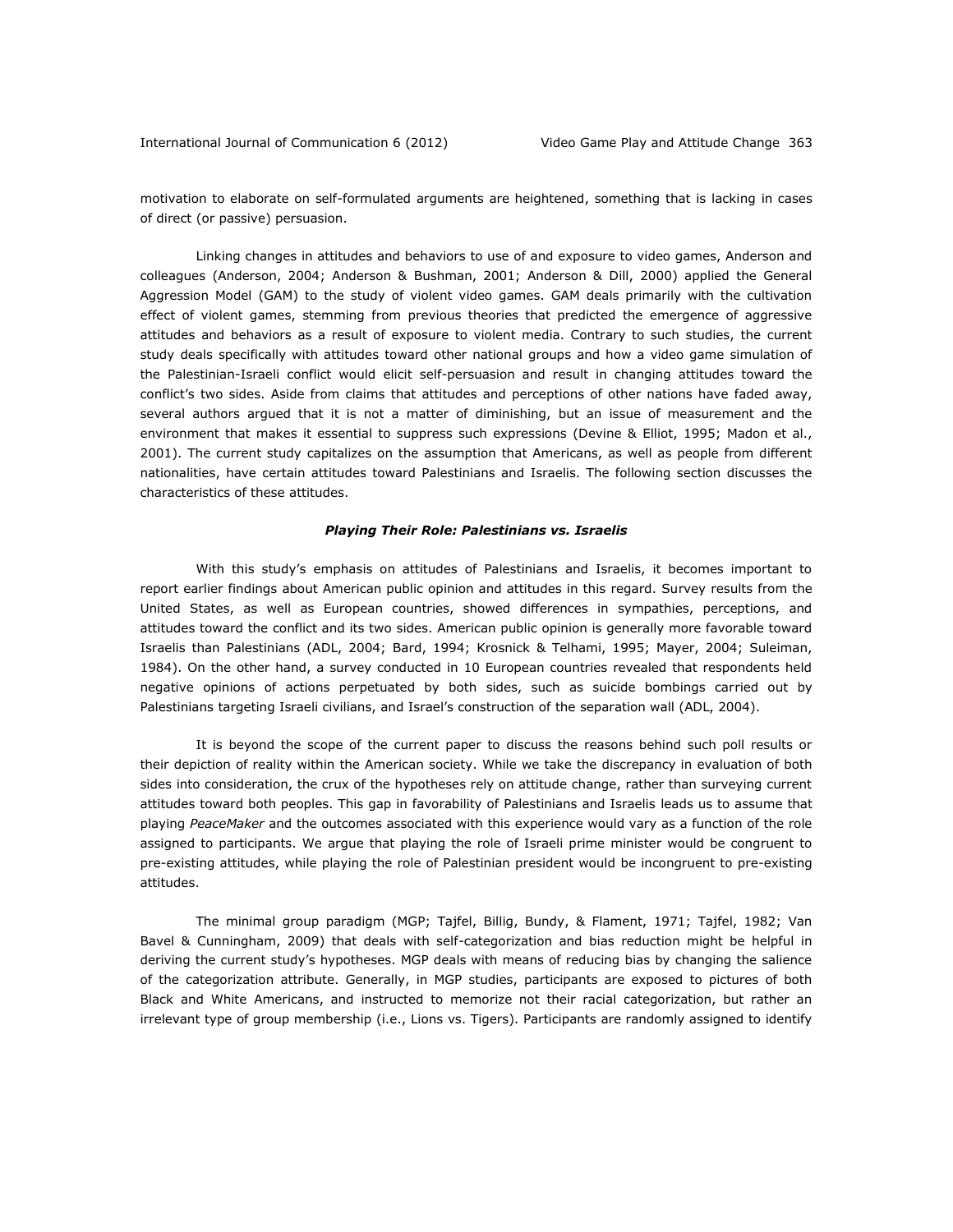motivation to elaborate on self-formulated arguments are heightened, something that is lacking in cases of direct (or passive) persuasion.

Linking changes in attitudes and behaviors to use of and exposure to video games, Anderson and colleagues (Anderson, 2004; Anderson & Bushman, 2001; Anderson & Dill, 2000) applied the General Aggression Model (GAM) to the study of violent video games. GAM deals primarily with the cultivation effect of violent games, stemming from previous theories that predicted the emergence of aggressive attitudes and behaviors as a result of exposure to violent media. Contrary to such studies, the current study deals specifically with attitudes toward other national groups and how a video game simulation of the Palestinian-Israeli conflict would elicit self-persuasion and result in changing attitudes toward the conflict's two sides. Aside from claims that attitudes and perceptions of other nations have faded away, several authors argued that it is not a matter of diminishing, but an issue of measurement and the environment that makes it essential to suppress such expressions (Devine & Elliot, 1995; Madon et al., 2001). The current study capitalizes on the assumption that Americans, as well as people from different nationalities, have certain attitudes toward Palestinians and Israelis. The following section discusses the characteristics of these attitudes.

## *Playing Their Role: Palestinians vs. Israelis*

With this study's emphasis on attitudes of Palestinians and Israelis, it becomes important to report earlier findings about American public opinion and attitudes in this regard. Survey results from the United States, as well as European countries, showed differences in sympathies, perceptions, and attitudes toward the conflict and its two sides. American public opinion is generally more favorable toward Israelis than Palestinians (ADL, 2004; Bard, 1994; Krosnick & Telhami, 1995; Mayer, 2004; Suleiman, 1984). On the other hand, a survey conducted in 10 European countries revealed that respondents held negative opinions of actions perpetuated by both sides, such as suicide bombings carried out by Palestinians targeting Israeli civilians, and Israel's construction of the separation wall (ADL, 2004).

It is beyond the scope of the current paper to discuss the reasons behind such poll results or their depiction of reality within the American society. While we take the discrepancy in evaluation of both sides into consideration, the crux of the hypotheses rely on attitude change, rather than surveying current attitudes toward both peoples. This gap in favorability of Palestinians and Israelis leads us to assume that playing *PeaceMaker* and the outcomes associated with this experience would vary as a function of the role assigned to participants. We argue that playing the role of Israeli prime minister would be congruent to pre-existing attitudes, while playing the role of Palestinian president would be incongruent to pre-existing attitudes.

The minimal group paradigm (MGP; Tajfel, Billig, Bundy, & Flament, 1971; Tajfel, 1982; Van Bavel & Cunningham, 2009) that deals with self-categorization and bias reduction might be helpful in deriving the current study's hypotheses. MGP deals with means of reducing bias by changing the salience of the categorization attribute. Generally, in MGP studies, participants are exposed to pictures of both Black and White Americans, and instructed to memorize not their racial categorization, but rather an irrelevant type of group membership (i.e., Lions vs. Tigers). Participants are randomly assigned to identify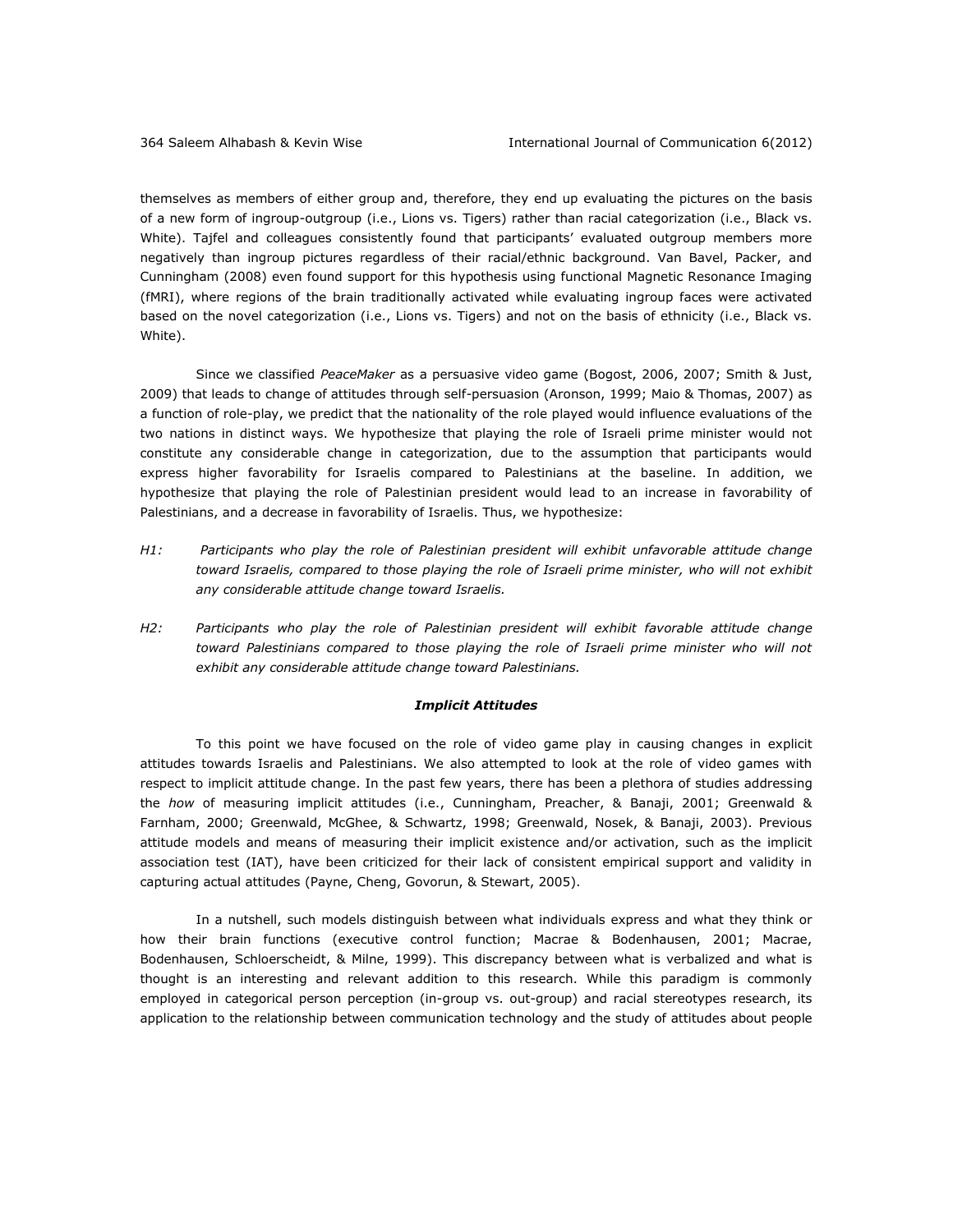themselves as members of either group and, therefore, they end up evaluating the pictures on the basis of a new form of ingroup-outgroup (i.e., Lions vs. Tigers) rather than racial categorization (i.e., Black vs. White). Tajfel and colleagues consistently found that participants' evaluated outgroup members more negatively than ingroup pictures regardless of their racial/ethnic background. Van Bavel, Packer, and Cunningham (2008) even found support for this hypothesis using functional Magnetic Resonance Imaging (fMRI), where regions of the brain traditionally activated while evaluating ingroup faces were activated based on the novel categorization (i.e., Lions vs. Tigers) and not on the basis of ethnicity (i.e., Black vs. White).

Since we classified *PeaceMaker* as a persuasive video game (Bogost, 2006, 2007; Smith & Just, 2009) that leads to change of attitudes through self-persuasion (Aronson, 1999; Maio & Thomas, 2007) as a function of role-play, we predict that the nationality of the role played would influence evaluations of the two nations in distinct ways. We hypothesize that playing the role of Israeli prime minister would not constitute any considerable change in categorization, due to the assumption that participants would express higher favorability for Israelis compared to Palestinians at the baseline. In addition, we hypothesize that playing the role of Palestinian president would lead to an increase in favorability of Palestinians, and a decrease in favorability of Israelis. Thus, we hypothesize:

- *H1: Participants who play the role of Palestinian president will exhibit unfavorable attitude change*  toward Israelis, compared to those playing the role of Israeli prime minister, who will not exhibit *any considerable attitude change toward Israelis.*
- *H2: Participants who play the role of Palestinian president will exhibit favorable attitude change toward Palestinians compared to those playing the role of Israeli prime minister who will not exhibit any considerable attitude change toward Palestinians.*

#### *Implicit Attitudes*

To this point we have focused on the role of video game play in causing changes in explicit attitudes towards Israelis and Palestinians. We also attempted to look at the role of video games with respect to implicit attitude change. In the past few years, there has been a plethora of studies addressing the *how* of measuring implicit attitudes (i.e., Cunningham, Preacher, & Banaji, 2001; Greenwald & Farnham, 2000; Greenwald, McGhee, & Schwartz, 1998; Greenwald, Nosek, & Banaji, 2003). Previous attitude models and means of measuring their implicit existence and/or activation, such as the implicit association test (IAT), have been criticized for their lack of consistent empirical support and validity in capturing actual attitudes (Payne, Cheng, Govorun, & Stewart, 2005).

In a nutshell, such models distinguish between what individuals express and what they think or how their brain functions (executive control function; Macrae & Bodenhausen, 2001; Macrae, Bodenhausen, Schloerscheidt, & Milne, 1999). This discrepancy between what is verbalized and what is thought is an interesting and relevant addition to this research. While this paradigm is commonly employed in categorical person perception (in-group vs. out-group) and racial stereotypes research, its application to the relationship between communication technology and the study of attitudes about people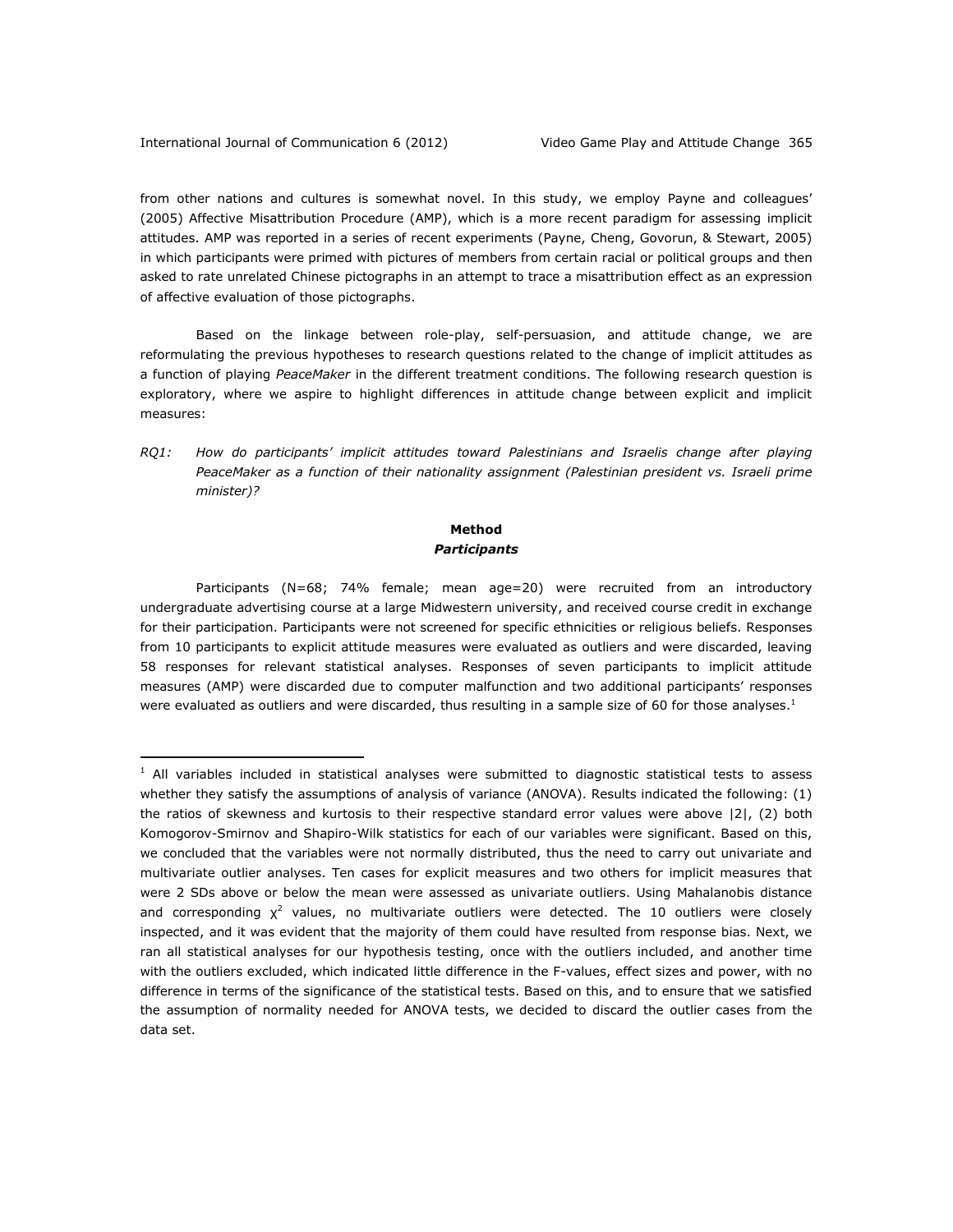from other nations and cultures is somewhat novel. In this study, we employ Payne and colleagues' (2005) Affective Misattribution Procedure (AMP), which is a more recent paradigm for assessing implicit attitudes. AMP was reported in a series of recent experiments (Payne, Cheng, Govorun, & Stewart, 2005) in which participants were primed with pictures of members from certain racial or political groups and then asked to rate unrelated Chinese pictographs in an attempt to trace a misattribution effect as an expression of affective evaluation of those pictographs.

Based on the linkage between role-play, self-persuasion, and attitude change, we are reformulating the previous hypotheses to research questions related to the change of implicit attitudes as a function of playing *PeaceMaker* in the different treatment conditions. The following research question is exploratory, where we aspire to highlight differences in attitude change between explicit and implicit measures:

*RQ1: How do participants' implicit attitudes toward Palestinians and Israelis change after playing PeaceMaker as a function of their nationality assignment (Palestinian president vs. Israeli prime minister)?* 

# **Method** *Participants*

Participants (N=68; 74% female; mean age=20) were recruited from an introductory undergraduate advertising course at a large Midwestern university, and received course credit in exchange for their participation. Participants were not screened for specific ethnicities or religious beliefs. Responses from 10 participants to explicit attitude measures were evaluated as outliers and were discarded, leaving 58 responses for relevant statistical analyses. Responses of seven participants to implicit attitude measures (AMP) were discarded due to computer malfunction and two additional participants' responses were evaluated as outliers and were discarded, thus resulting in a sample size of 60 for those analyses.<sup>1</sup>

 $1$  All variables included in statistical analyses were submitted to diagnostic statistical tests to assess whether they satisfy the assumptions of analysis of variance (ANOVA). Results indicated the following: (1) the ratios of skewness and kurtosis to their respective standard error values were above |2|, (2) both Komogorov-Smirnov and Shapiro-Wilk statistics for each of our variables were significant. Based on this, we concluded that the variables were not normally distributed, thus the need to carry out univariate and multivariate outlier analyses. Ten cases for explicit measures and two others for implicit measures that were 2 SDs above or below the mean were assessed as univariate outliers. Using Mahalanobis distance and corresponding  $\chi^2$  values, no multivariate outliers were detected. The 10 outliers were closely inspected, and it was evident that the majority of them could have resulted from response bias. Next, we ran all statistical analyses for our hypothesis testing, once with the outliers included, and another time with the outliers excluded, which indicated little difference in the F-values, effect sizes and power, with no difference in terms of the significance of the statistical tests. Based on this, and to ensure that we satisfied the assumption of normality needed for ANOVA tests, we decided to discard the outlier cases from the data set.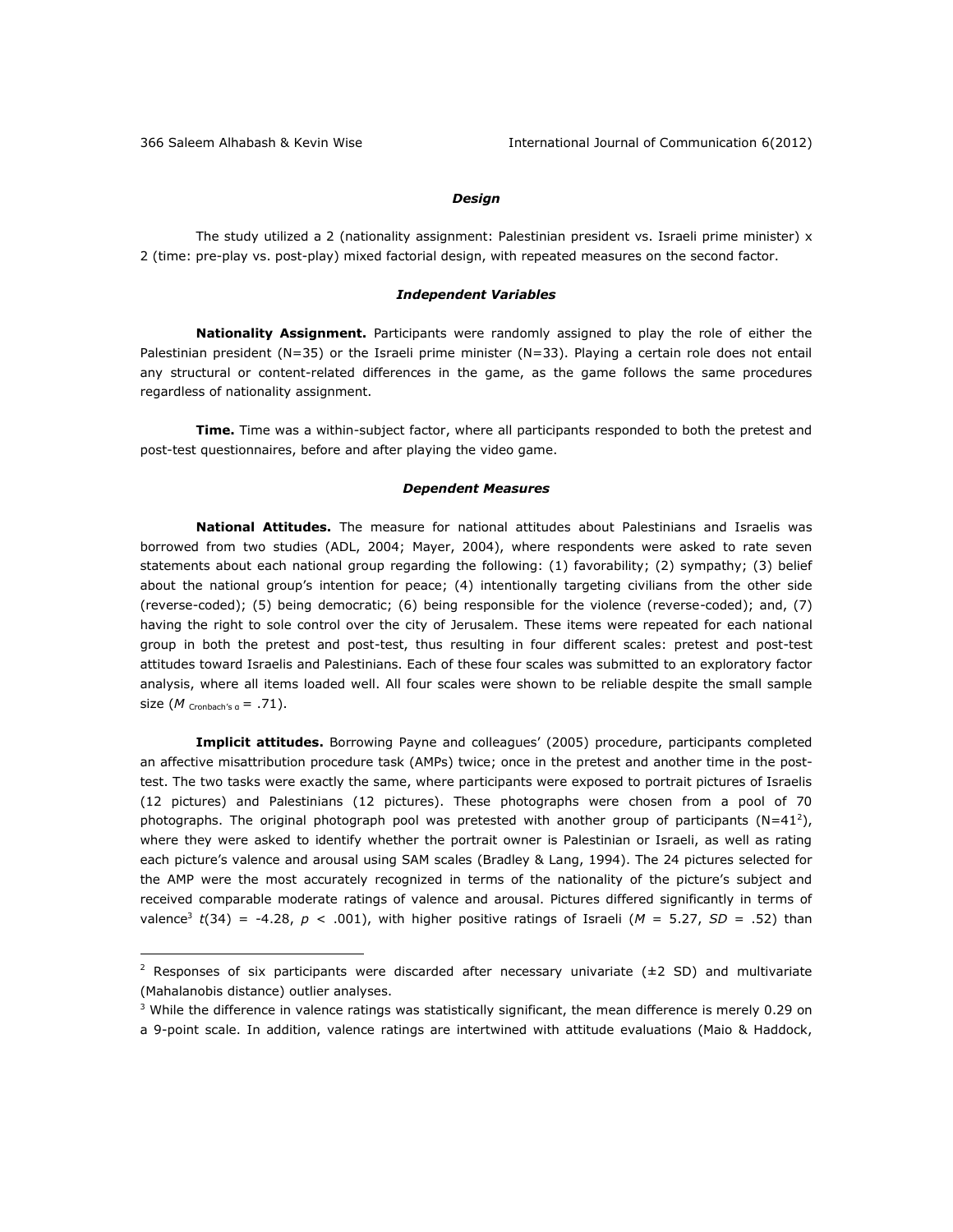## *Design*

The study utilized a 2 (nationality assignment: Palestinian president vs. Israeli prime minister) x 2 (time: pre-play vs. post-play) mixed factorial design, with repeated measures on the second factor.

#### *Independent Variables*

**Nationality Assignment.** Participants were randomly assigned to play the role of either the Palestinian president (N=35) or the Israeli prime minister (N=33). Playing a certain role does not entail any structural or content-related differences in the game, as the game follows the same procedures regardless of nationality assignment.

**Time.** Time was a within-subject factor, where all participants responded to both the pretest and post-test questionnaires, before and after playing the video game.

#### *Dependent Measures*

**National Attitudes.** The measure for national attitudes about Palestinians and Israelis was borrowed from two studies (ADL, 2004; Mayer, 2004), where respondents were asked to rate seven statements about each national group regarding the following: (1) favorability; (2) sympathy; (3) belief about the national group's intention for peace; (4) intentionally targeting civilians from the other side (reverse-coded); (5) being democratic; (6) being responsible for the violence (reverse-coded); and, (7) having the right to sole control over the city of Jerusalem. These items were repeated for each national group in both the pretest and post-test, thus resulting in four different scales: pretest and post-test attitudes toward Israelis and Palestinians. Each of these four scales was submitted to an exploratory factor analysis, where all items loaded well. All four scales were shown to be reliable despite the small sample size  $(M \text{ Cronbach's a} = .71)$ .

**Implicit attitudes.** Borrowing Payne and colleagues' (2005) procedure, participants completed an affective misattribution procedure task (AMPs) twice; once in the pretest and another time in the posttest. The two tasks were exactly the same, where participants were exposed to portrait pictures of Israelis (12 pictures) and Palestinians (12 pictures). These photographs were chosen from a pool of 70 photographs. The original photograph pool was pretested with another group of participants ( $N=41^2$ ), where they were asked to identify whether the portrait owner is Palestinian or Israeli, as well as rating each picture's valence and arousal using SAM scales (Bradley & Lang, 1994). The 24 pictures selected for the AMP were the most accurately recognized in terms of the nationality of the picture's subject and received comparable moderate ratings of valence and arousal. Pictures differed significantly in terms of valence<sup>3</sup> t<sup></sup>(34) = -4.28,  $p < .001$ ), with higher positive ratings of Israeli ( $M = 5.27$ ,  $SD = .52$ ) than

<sup>&</sup>lt;sup>2</sup> Responses of six participants were discarded after necessary univariate ( $\pm$ 2 SD) and multivariate (Mahalanobis distance) outlier analyses.

<sup>&</sup>lt;sup>3</sup> While the difference in valence ratings was statistically significant, the mean difference is merely 0.29 on a 9-point scale. In addition, valence ratings are intertwined with attitude evaluations (Maio & Haddock,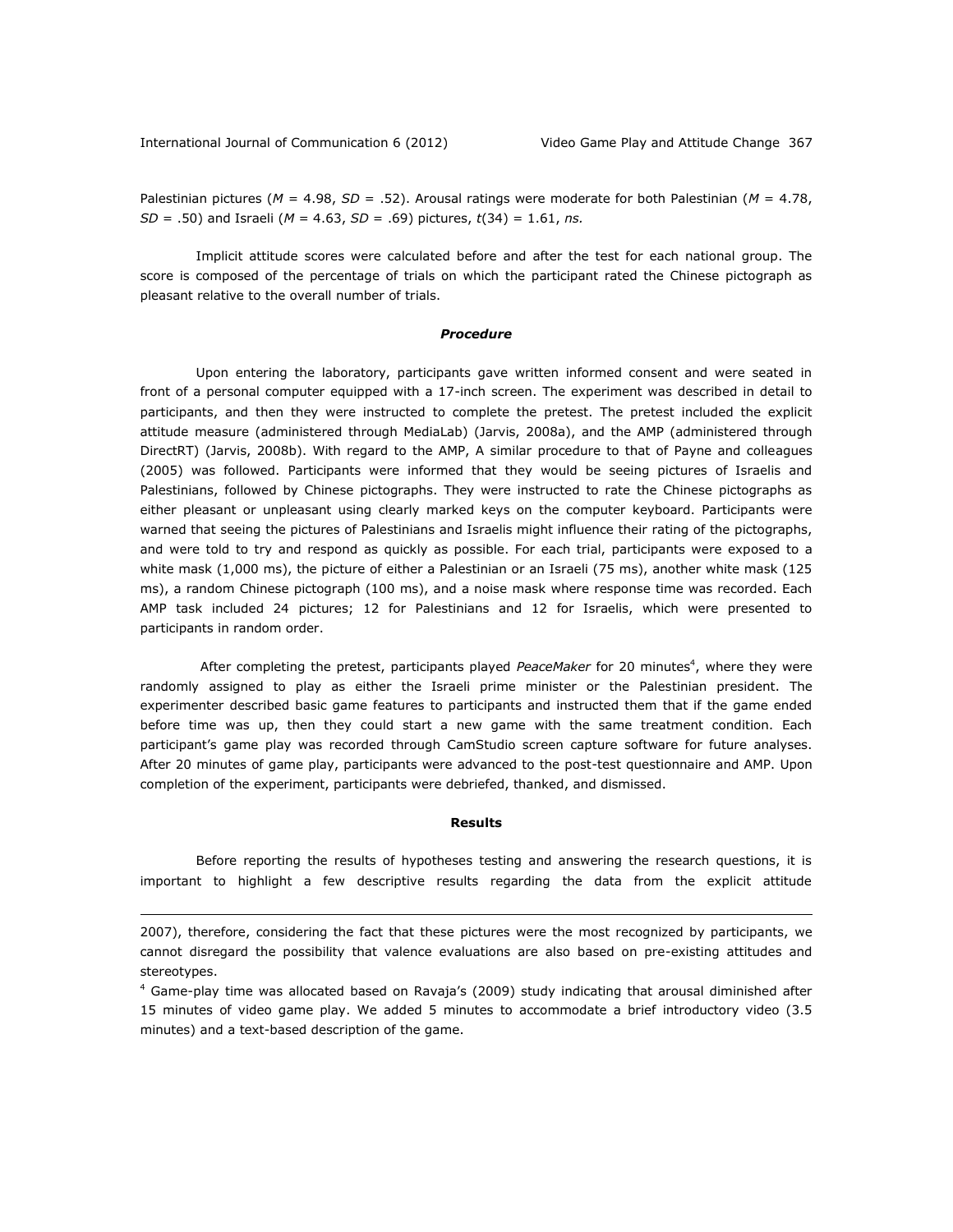Palestinian pictures (*M* = 4.98, *SD* = .52). Arousal ratings were moderate for both Palestinian (*M* = 4.78, *SD* = .50) and Israeli (*M* = 4.63, *SD* = .69) pictures, *t*(34) = 1.61, *ns.* 

Implicit attitude scores were calculated before and after the test for each national group. The score is composed of the percentage of trials on which the participant rated the Chinese pictograph as pleasant relative to the overall number of trials.

### *Procedure*

Upon entering the laboratory, participants gave written informed consent and were seated in front of a personal computer equipped with a 17-inch screen. The experiment was described in detail to participants, and then they were instructed to complete the pretest. The pretest included the explicit attitude measure (administered through MediaLab) (Jarvis, 2008a), and the AMP (administered through DirectRT) (Jarvis, 2008b). With regard to the AMP, A similar procedure to that of Payne and colleagues (2005) was followed. Participants were informed that they would be seeing pictures of Israelis and Palestinians, followed by Chinese pictographs. They were instructed to rate the Chinese pictographs as either pleasant or unpleasant using clearly marked keys on the computer keyboard. Participants were warned that seeing the pictures of Palestinians and Israelis might influence their rating of the pictographs, and were told to try and respond as quickly as possible. For each trial, participants were exposed to a white mask (1,000 ms), the picture of either a Palestinian or an Israeli (75 ms), another white mask (125 ms), a random Chinese pictograph (100 ms), and a noise mask where response time was recorded. Each AMP task included 24 pictures; 12 for Palestinians and 12 for Israelis, which were presented to participants in random order.

After completing the pretest, participants played PeaceMaker for 20 minutes<sup>4</sup>, where they were randomly assigned to play as either the Israeli prime minister or the Palestinian president. The experimenter described basic game features to participants and instructed them that if the game ended before time was up, then they could start a new game with the same treatment condition. Each participant's game play was recorded through CamStudio screen capture software for future analyses. After 20 minutes of game play, participants were advanced to the post-test questionnaire and AMP. Upon completion of the experiment, participants were debriefed, thanked, and dismissed.

# **Results**

Before reporting the results of hypotheses testing and answering the research questions, it is important to highlight a few descriptive results regarding the data from the explicit attitude

<sup>2007),</sup> therefore, considering the fact that these pictures were the most recognized by participants, we cannot disregard the possibility that valence evaluations are also based on pre-existing attitudes and stereotypes.

<sup>4</sup> Game-play time was allocated based on Ravaja's (2009) study indicating that arousal diminished after 15 minutes of video game play. We added 5 minutes to accommodate a brief introductory video (3.5 minutes) and a text-based description of the game.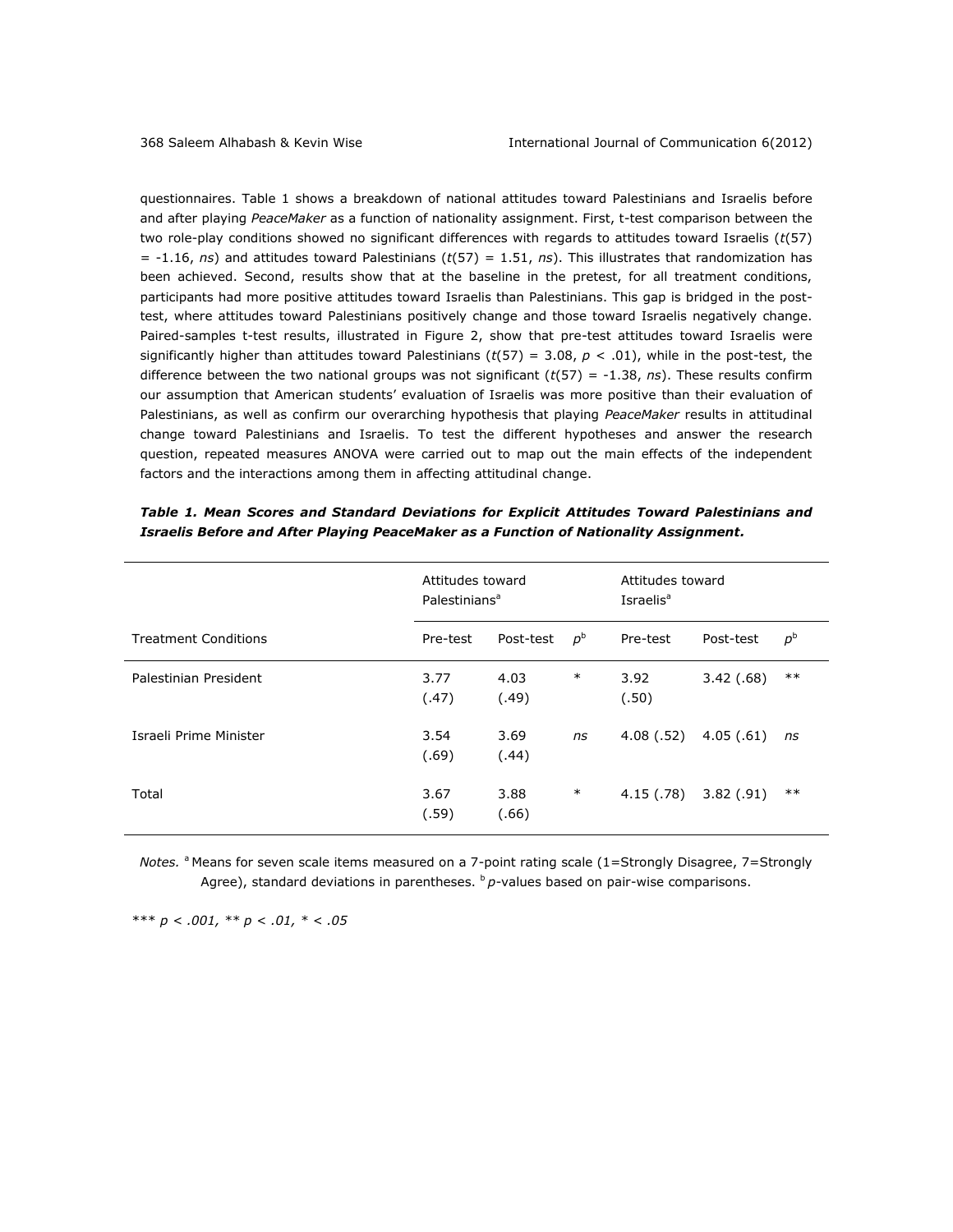questionnaires. Table 1 shows a breakdown of national attitudes toward Palestinians and Israelis before and after playing *PeaceMaker* as a function of nationality assignment. First, t-test comparison between the two role-play conditions showed no significant differences with regards to attitudes toward Israelis (*t*(57) = -1.16, *ns*) and attitudes toward Palestinians (*t*(57) = 1.51, *ns*). This illustrates that randomization has been achieved. Second, results show that at the baseline in the pretest, for all treatment conditions, participants had more positive attitudes toward Israelis than Palestinians. This gap is bridged in the posttest, where attitudes toward Palestinians positively change and those toward Israelis negatively change. Paired-samples t-test results, illustrated in Figure 2, show that pre-test attitudes toward Israelis were significantly higher than attitudes toward Palestinians ( $t(57) = 3.08$ ,  $p < .01$ ), while in the post-test, the difference between the two national groups was not significant  $(t(57) = -1.38, ns)$ . These results confirm our assumption that American students' evaluation of Israelis was more positive than their evaluation of Palestinians, as well as confirm our overarching hypothesis that playing *PeaceMaker* results in attitudinal change toward Palestinians and Israelis. To test the different hypotheses and answer the research question, repeated measures ANOVA were carried out to map out the main effects of the independent factors and the interactions among them in affecting attitudinal change.

|                             | Attitudes toward<br>Palestinians <sup>a</sup> |               |             | Attitudes toward<br>Israelis <sup>a</sup> |           |             |  |
|-----------------------------|-----------------------------------------------|---------------|-------------|-------------------------------------------|-----------|-------------|--|
| <b>Treatment Conditions</b> | Pre-test                                      | Post-test     | $p^{\rm b}$ | Pre-test                                  | Post-test | $p^{\rm b}$ |  |
| Palestinian President       | 3.77<br>(.47)                                 | 4.03<br>(.49) | $\ast$      | 3.92<br>(.50)                             | 3.42(.68) | $***$       |  |
| Israeli Prime Minister      | 3.54<br>(.69)                                 | 3.69<br>(.44) | ns          | 4.08(.52)                                 | 4.05(.61) | ns          |  |
| Total                       | 3.67<br>(.59)                                 | 3.88<br>(.66) | $\ast$      | 4.15 (.78)                                | 3.82(.91) | $***$       |  |

|                                                                                       |  |  |  |  |  |  |  |  |  | Table 1. Mean Scores and Standard Deviations for Explicit Attitudes Toward Palestinians and |  |
|---------------------------------------------------------------------------------------|--|--|--|--|--|--|--|--|--|---------------------------------------------------------------------------------------------|--|
| Israelis Before and After Playing PeaceMaker as a Function of Nationality Assignment. |  |  |  |  |  |  |  |  |  |                                                                                             |  |

*Notes.* <sup>a</sup> Means for seven scale items measured on a 7-point rating scale (1=Strongly Disagree, 7=Strongly Agree), standard deviations in parentheses. <sup>b</sup> p-values based on pair-wise comparisons.

\*\*\* *p < .001, \*\* p < .01, \* < .05*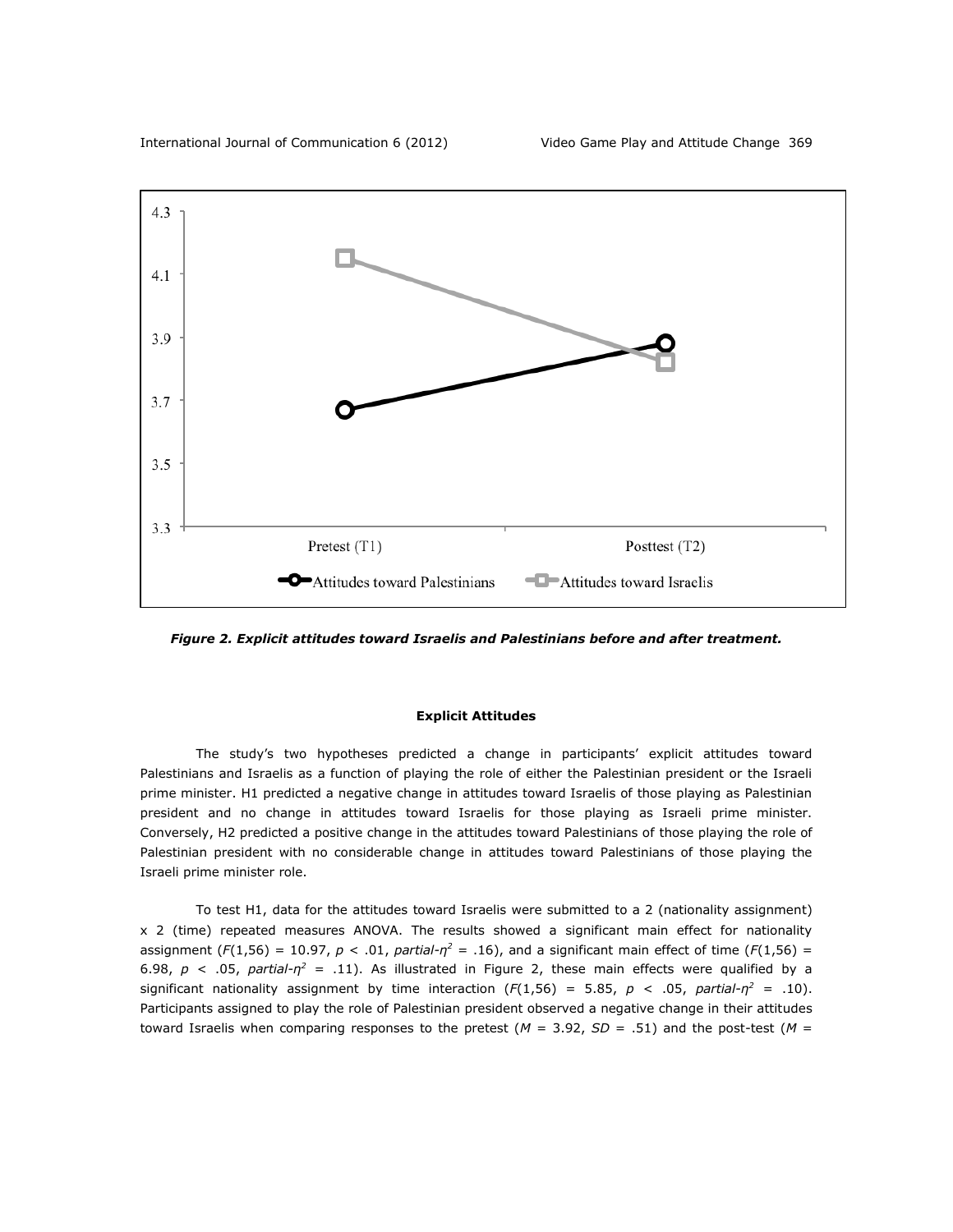

*Figure 2. Explicit attitudes toward Israelis and Palestinians before and after treatment.*

### **Explicit Attitudes**

The study's two hypotheses predicted a change in participants' explicit attitudes toward Palestinians and Israelis as a function of playing the role of either the Palestinian president or the Israeli prime minister. H1 predicted a negative change in attitudes toward Israelis of those playing as Palestinian president and no change in attitudes toward Israelis for those playing as Israeli prime minister. Conversely, H2 predicted a positive change in the attitudes toward Palestinians of those playing the role of Palestinian president with no considerable change in attitudes toward Palestinians of those playing the Israeli prime minister role.

To test H1, data for the attitudes toward Israelis were submitted to a 2 (nationality assignment) x 2 (time) repeated measures ANOVA. The results showed a significant main effect for nationality assignment  $(F(1,56) = 10.97, p < .01,$  *partial-n*<sup>2</sup> = .16), and a significant main effect of time  $(F(1,56) =$ 6.98,  $p < .05$ ,  $partial -r^2 = .11$ ). As illustrated in Figure 2, these main effects were qualified by a significant nationality assignment by time interaction  $(F(1,56) = 5.85, p < .05,$  *partial-n*<sup>2</sup> = .10). Participants assigned to play the role of Palestinian president observed a negative change in their attitudes toward Israelis when comparing responses to the pretest ( $M = 3.92$ ,  $SD = .51$ ) and the post-test ( $M =$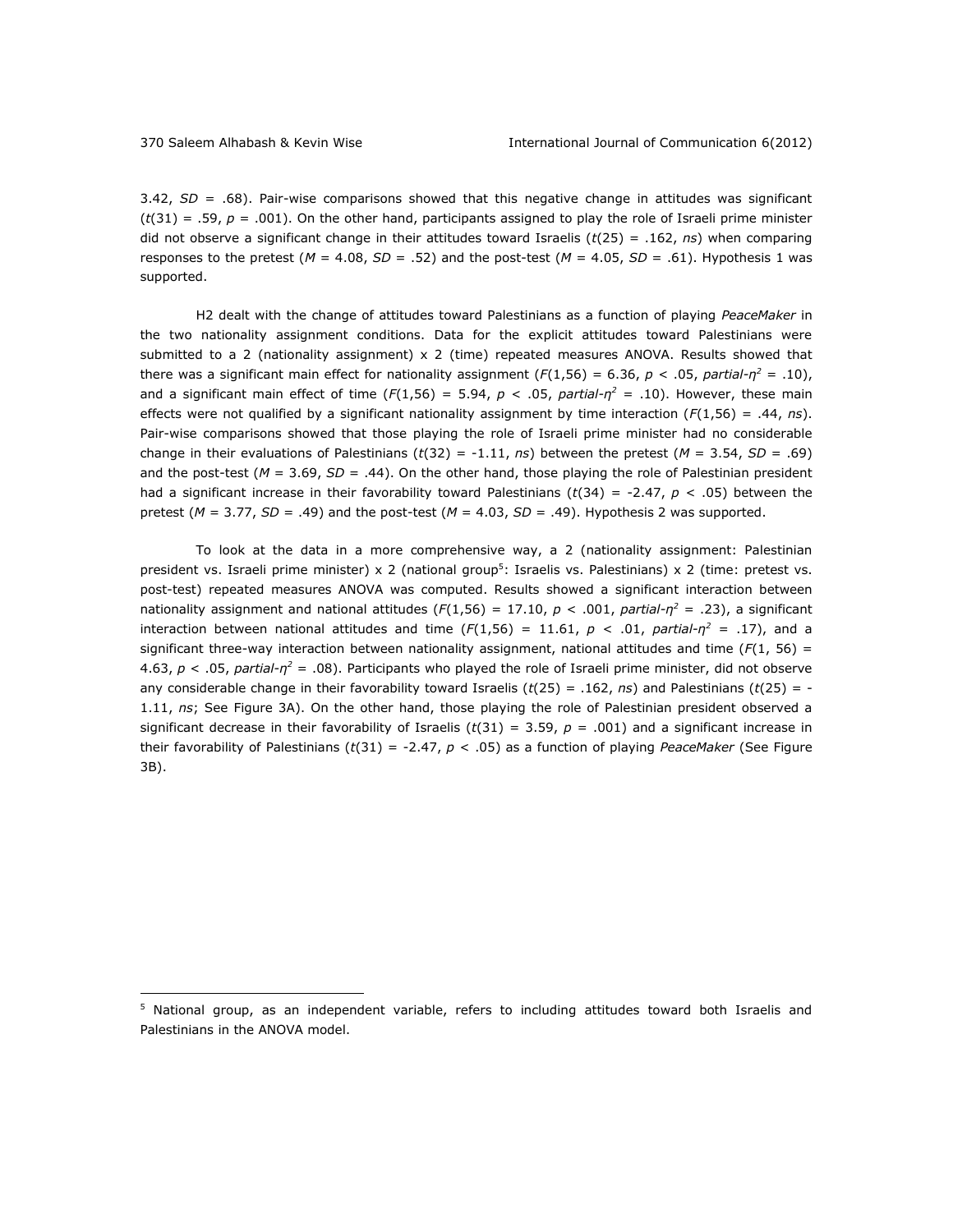3.42, *SD* = .68). Pair-wise comparisons showed that this negative change in attitudes was significant  $(t(31) = .59, p = .001)$ . On the other hand, participants assigned to play the role of Israeli prime minister did not observe a significant change in their attitudes toward Israelis (*t*(25) = .162, *ns*) when comparing responses to the pretest (*M* = 4.08, *SD* = .52) and the post-test (*M* = 4.05, *SD* = .61). Hypothesis 1 was supported.

H2 dealt with the change of attitudes toward Palestinians as a function of playing *PeaceMaker* in the two nationality assignment conditions. Data for the explicit attitudes toward Palestinians were submitted to a 2 (nationality assignment) x 2 (time) repeated measures ANOVA. Results showed that there was a significant main effect for nationality assignment  $(F(1,56) = 6.36, p < .05, partial- $\eta^2 = .10$ ),$ and a significant main effect of time (*F*(1,56) = 5.94, *p* < .05, *partial-η <sup>2</sup>* = .10). However, these main effects were not qualified by a significant nationality assignment by time interaction (*F*(1,56) = .44, *ns*). Pair-wise comparisons showed that those playing the role of Israeli prime minister had no considerable change in their evaluations of Palestinians  $(t(32) = -1.11, ns)$  between the pretest  $(M = 3.54, SD = .69)$ and the post-test (*M* = 3.69, *SD* = .44). On the other hand, those playing the role of Palestinian president had a significant increase in their favorability toward Palestinians (*t*(34) = -2.47, *p* < .05) between the pretest (*M* = 3.77, *SD* = .49) and the post-test (*M* = 4.03, *SD* = .49). Hypothesis 2 was supported.

To look at the data in a more comprehensive way, a 2 (nationality assignment: Palestinian president vs. Israeli prime minister) x 2 (national group<sup>5</sup>: Israelis vs. Palestinians) x 2 (time: pretest vs. post-test) repeated measures ANOVA was computed. Results showed a significant interaction between nationality assignment and national attitudes ( $F(1,56) = 17.10$ ,  $p < .001$ ,  $partial -r^2 = .23$ ), a significant interaction between national attitudes and time ( $F(1,56) = 11.61$ ,  $p < .01$ , partial- $\eta^2 = .17$ ), and a significant three-way interaction between nationality assignment, national attitudes and time ( $F(1, 56) =$ 4.63, *p* < .05, *partial-η <sup>2</sup>* = .08). Participants who played the role of Israeli prime minister, did not observe any considerable change in their favorability toward Israelis (*t*(25) = .162, *ns*) and Palestinians (*t*(25) = - 1.11, *ns*; See Figure 3A). On the other hand, those playing the role of Palestinian president observed a significant decrease in their favorability of Israelis  $(t(31) = 3.59, p = .001)$  and a significant increase in their favorability of Palestinians (*t*(31) = -2.47, *p* < .05) as a function of playing *PeaceMaker* (See Figure 3B).

<sup>&</sup>lt;sup>5</sup> National group, as an independent variable, refers to including attitudes toward both Israelis and Palestinians in the ANOVA model.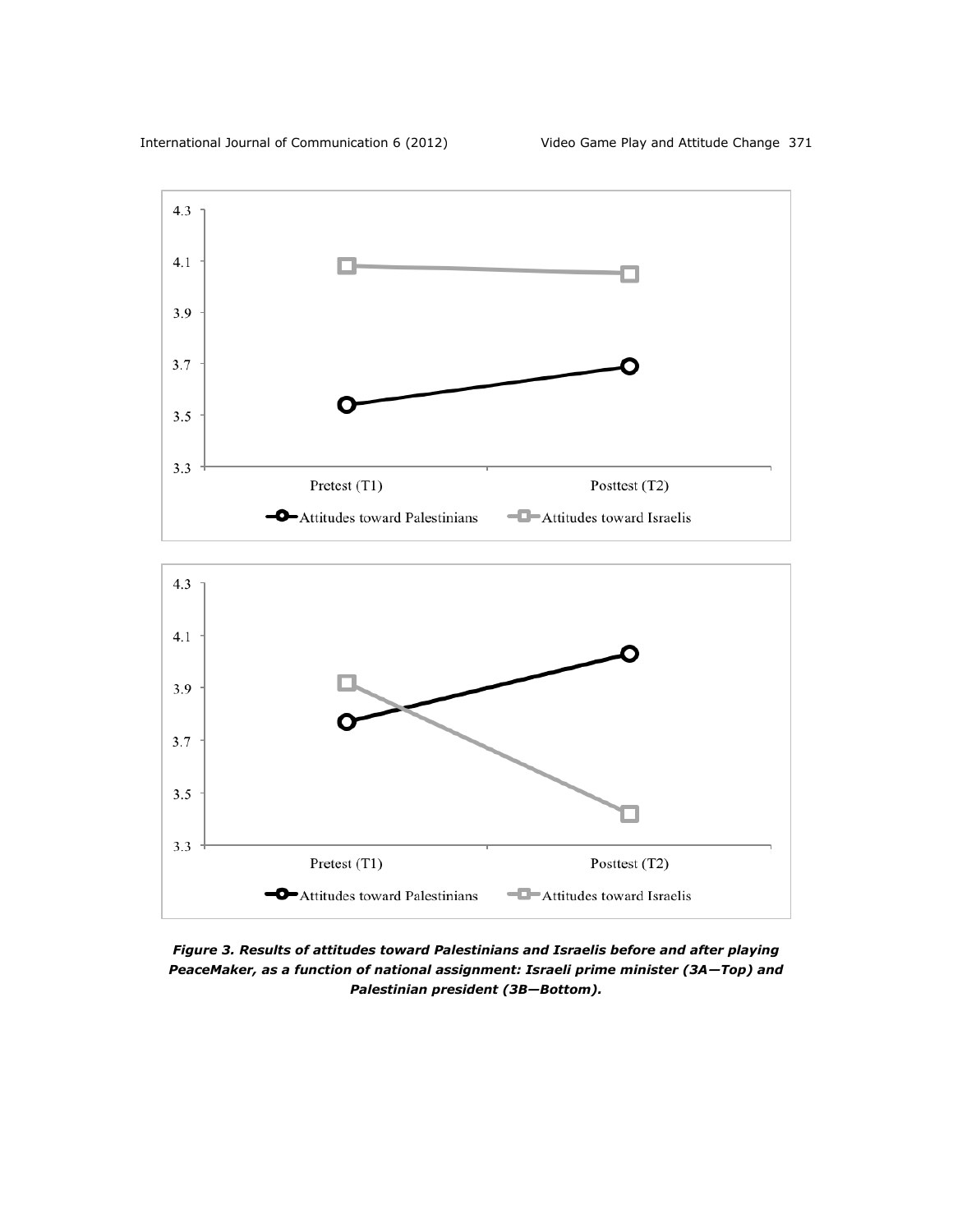

*Figure 3. Results of attitudes toward Palestinians and Israelis before and after playing PeaceMaker, as a function of national assignment: Israeli prime minister (3A—Top) and Palestinian president (3B—Bottom).*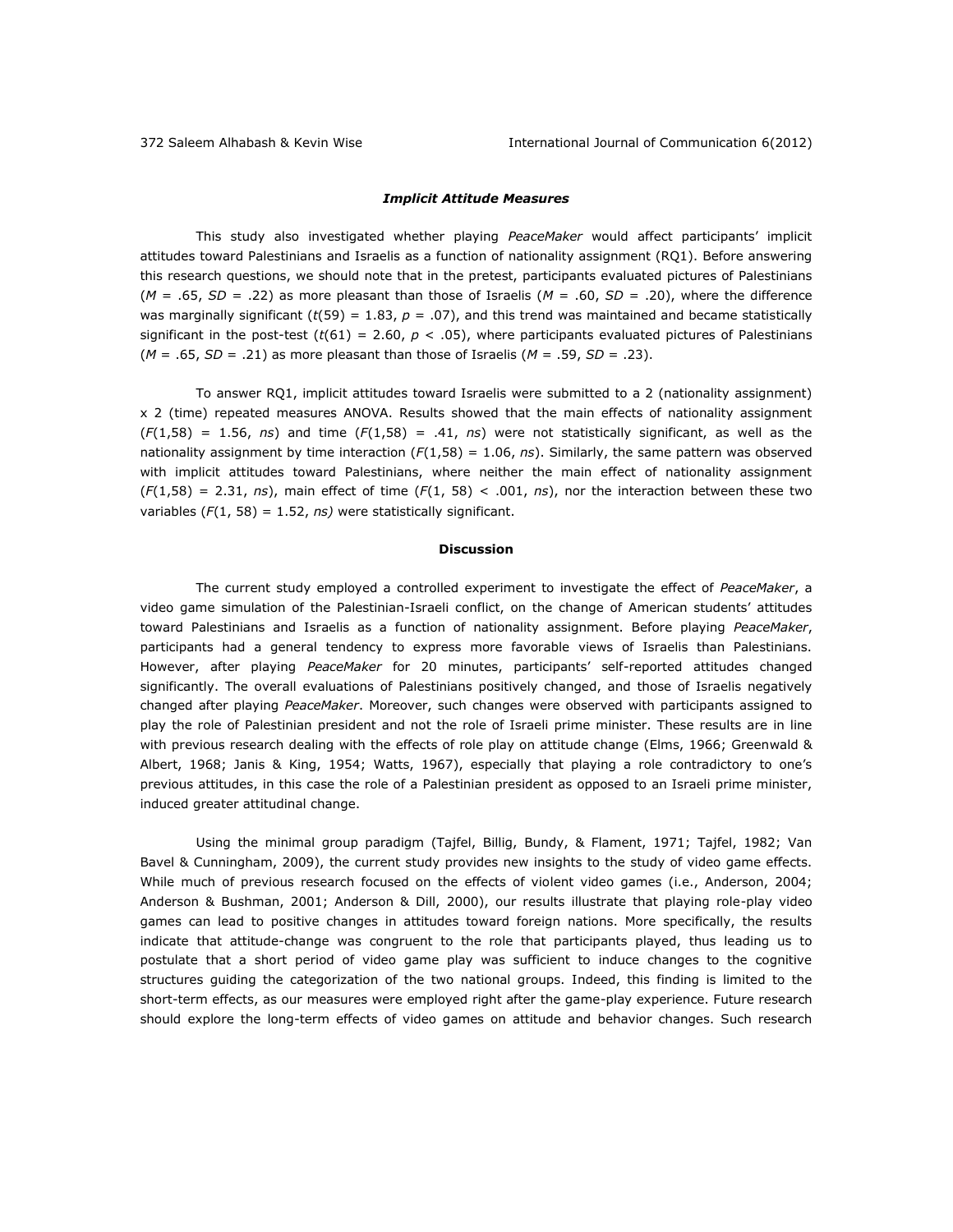## *Implicit Attitude Measures*

This study also investigated whether playing *PeaceMaker* would affect participants' implicit attitudes toward Palestinians and Israelis as a function of nationality assignment (RQ1). Before answering this research questions, we should note that in the pretest, participants evaluated pictures of Palestinians  $(M = .65, SD = .22)$  as more pleasant than those of Israelis  $(M = .60, SD = .20)$ , where the difference was marginally significant ( $t(59) = 1.83$ ,  $p = .07$ ), and this trend was maintained and became statistically significant in the post-test  $(t(61) = 2.60, p < .05)$ , where participants evaluated pictures of Palestinians  $(M = .65, SD = .21)$  as more pleasant than those of Israelis  $(M = .59, SD = .23)$ .

To answer RQ1, implicit attitudes toward Israelis were submitted to a 2 (nationality assignment) x 2 (time) repeated measures ANOVA. Results showed that the main effects of nationality assignment  $(F(1,58) = 1.56, ns)$  and time  $(F(1,58) = .41, ns)$  were not statistically significant, as well as the nationality assignment by time interaction (*F*(1,58) = 1.06, *ns*). Similarly, the same pattern was observed with implicit attitudes toward Palestinians, where neither the main effect of nationality assignment  $(F(1,58) = 2.31, ns)$ , main effect of time  $(F(1, 58) < .001, ns)$ , nor the interaction between these two variables (*F*(1, 58) = 1.52, *ns)* were statistically significant.

#### **Discussion**

The current study employed a controlled experiment to investigate the effect of *PeaceMaker*, a video game simulation of the Palestinian-Israeli conflict, on the change of American students' attitudes toward Palestinians and Israelis as a function of nationality assignment. Before playing *PeaceMaker*, participants had a general tendency to express more favorable views of Israelis than Palestinians. However, after playing *PeaceMaker* for 20 minutes, participants' self-reported attitudes changed significantly. The overall evaluations of Palestinians positively changed, and those of Israelis negatively changed after playing *PeaceMaker*. Moreover, such changes were observed with participants assigned to play the role of Palestinian president and not the role of Israeli prime minister. These results are in line with previous research dealing with the effects of role play on attitude change (Elms, 1966; Greenwald & Albert, 1968; Janis & King, 1954; Watts, 1967), especially that playing a role contradictory to one's previous attitudes, in this case the role of a Palestinian president as opposed to an Israeli prime minister, induced greater attitudinal change.

Using the minimal group paradigm (Tajfel, Billig, Bundy, & Flament, 1971; Tajfel, 1982; Van Bavel & Cunningham, 2009), the current study provides new insights to the study of video game effects. While much of previous research focused on the effects of violent video games (i.e., Anderson, 2004; Anderson & Bushman, 2001; Anderson & Dill, 2000), our results illustrate that playing role-play video games can lead to positive changes in attitudes toward foreign nations. More specifically, the results indicate that attitude-change was congruent to the role that participants played, thus leading us to postulate that a short period of video game play was sufficient to induce changes to the cognitive structures guiding the categorization of the two national groups. Indeed, this finding is limited to the short-term effects, as our measures were employed right after the game-play experience. Future research should explore the long-term effects of video games on attitude and behavior changes. Such research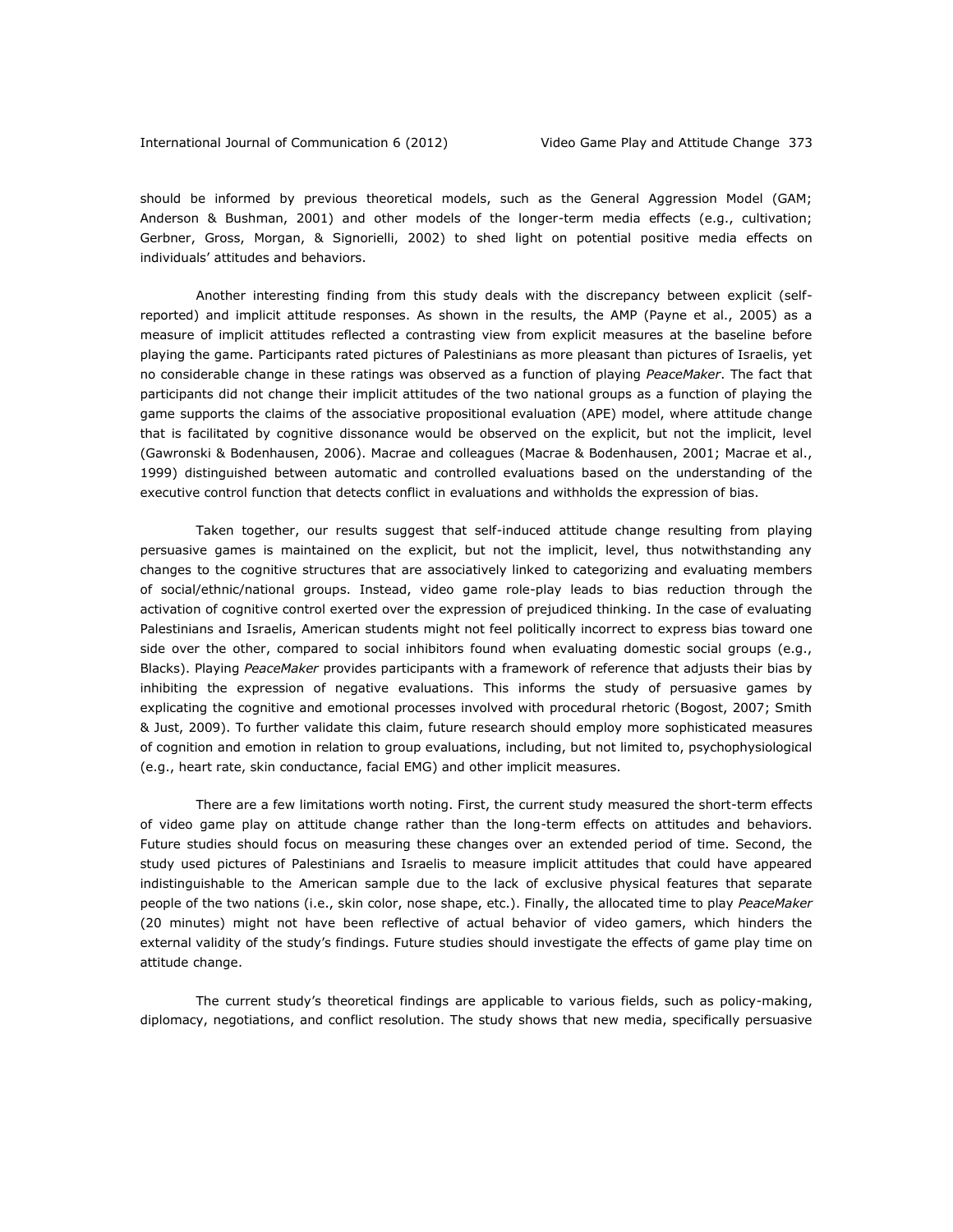should be informed by previous theoretical models, such as the General Aggression Model (GAM; Anderson & Bushman, 2001) and other models of the longer-term media effects (e.g., cultivation; Gerbner, Gross, Morgan, & Signorielli, 2002) to shed light on potential positive media effects on individuals' attitudes and behaviors.

Another interesting finding from this study deals with the discrepancy between explicit (selfreported) and implicit attitude responses. As shown in the results, the AMP (Payne et al., 2005) as a measure of implicit attitudes reflected a contrasting view from explicit measures at the baseline before playing the game. Participants rated pictures of Palestinians as more pleasant than pictures of Israelis, yet no considerable change in these ratings was observed as a function of playing *PeaceMaker*. The fact that participants did not change their implicit attitudes of the two national groups as a function of playing the game supports the claims of the associative propositional evaluation (APE) model, where attitude change that is facilitated by cognitive dissonance would be observed on the explicit, but not the implicit, level (Gawronski & Bodenhausen, 2006). Macrae and colleagues (Macrae & Bodenhausen, 2001; Macrae et al., 1999) distinguished between automatic and controlled evaluations based on the understanding of the executive control function that detects conflict in evaluations and withholds the expression of bias.

Taken together, our results suggest that self-induced attitude change resulting from playing persuasive games is maintained on the explicit, but not the implicit, level, thus notwithstanding any changes to the cognitive structures that are associatively linked to categorizing and evaluating members of social/ethnic/national groups. Instead, video game role-play leads to bias reduction through the activation of cognitive control exerted over the expression of prejudiced thinking. In the case of evaluating Palestinians and Israelis, American students might not feel politically incorrect to express bias toward one side over the other, compared to social inhibitors found when evaluating domestic social groups (e.g., Blacks). Playing *PeaceMaker* provides participants with a framework of reference that adjusts their bias by inhibiting the expression of negative evaluations. This informs the study of persuasive games by explicating the cognitive and emotional processes involved with procedural rhetoric (Bogost, 2007; Smith & Just, 2009). To further validate this claim, future research should employ more sophisticated measures of cognition and emotion in relation to group evaluations, including, but not limited to, psychophysiological (e.g., heart rate, skin conductance, facial EMG) and other implicit measures.

There are a few limitations worth noting. First, the current study measured the short-term effects of video game play on attitude change rather than the long-term effects on attitudes and behaviors. Future studies should focus on measuring these changes over an extended period of time. Second, the study used pictures of Palestinians and Israelis to measure implicit attitudes that could have appeared indistinguishable to the American sample due to the lack of exclusive physical features that separate people of the two nations (i.e., skin color, nose shape, etc.). Finally, the allocated time to play *PeaceMaker* (20 minutes) might not have been reflective of actual behavior of video gamers, which hinders the external validity of the study's findings. Future studies should investigate the effects of game play time on attitude change.

The current study's theoretical findings are applicable to various fields, such as policy-making, diplomacy, negotiations, and conflict resolution. The study shows that new media, specifically persuasive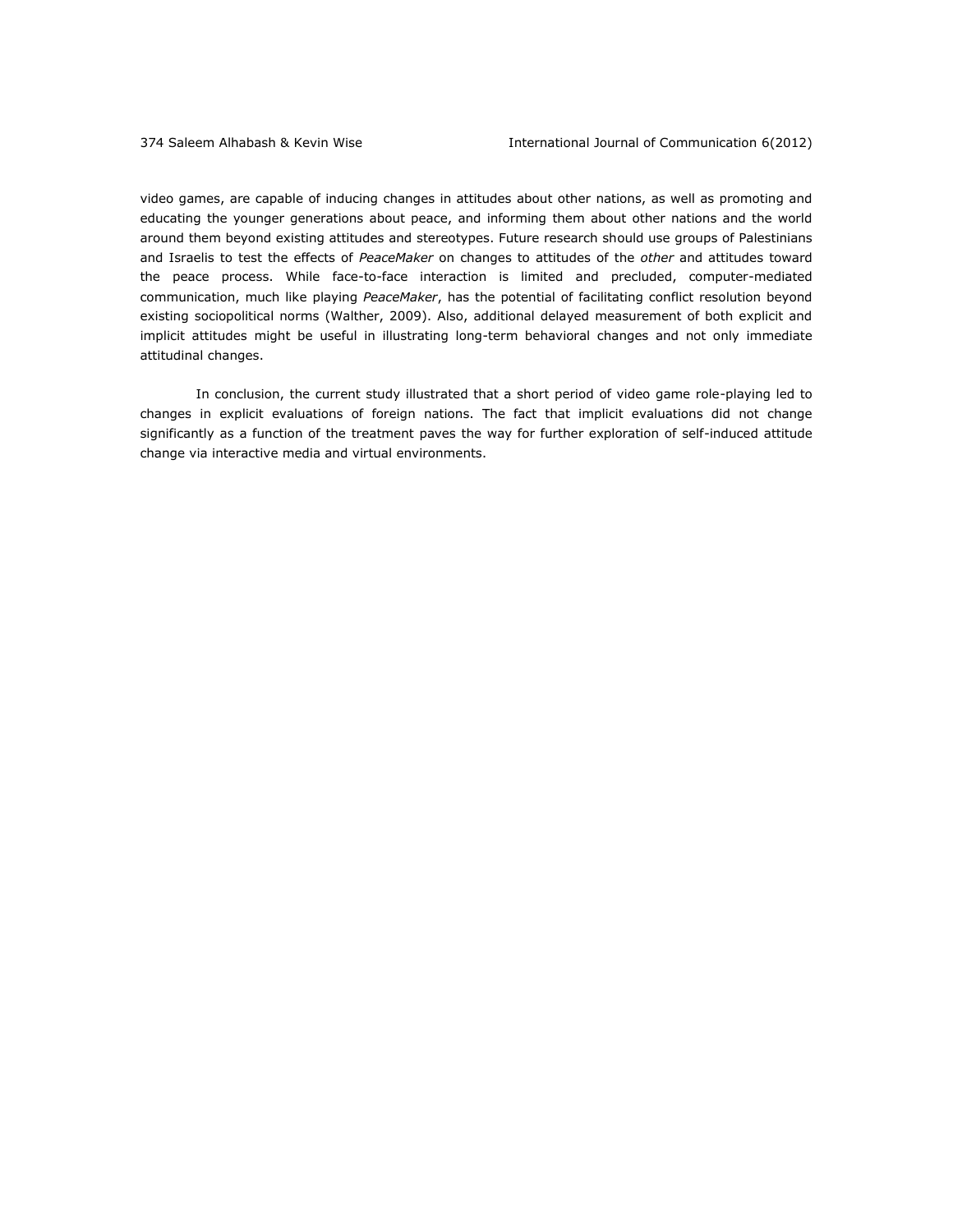video games, are capable of inducing changes in attitudes about other nations, as well as promoting and educating the younger generations about peace, and informing them about other nations and the world around them beyond existing attitudes and stereotypes. Future research should use groups of Palestinians and Israelis to test the effects of *PeaceMaker* on changes to attitudes of the *other* and attitudes toward the peace process. While face-to-face interaction is limited and precluded, computer-mediated communication, much like playing *PeaceMaker*, has the potential of facilitating conflict resolution beyond existing sociopolitical norms (Walther, 2009). Also, additional delayed measurement of both explicit and implicit attitudes might be useful in illustrating long-term behavioral changes and not only immediate attitudinal changes.

In conclusion, the current study illustrated that a short period of video game role-playing led to changes in explicit evaluations of foreign nations. The fact that implicit evaluations did not change significantly as a function of the treatment paves the way for further exploration of self-induced attitude change via interactive media and virtual environments.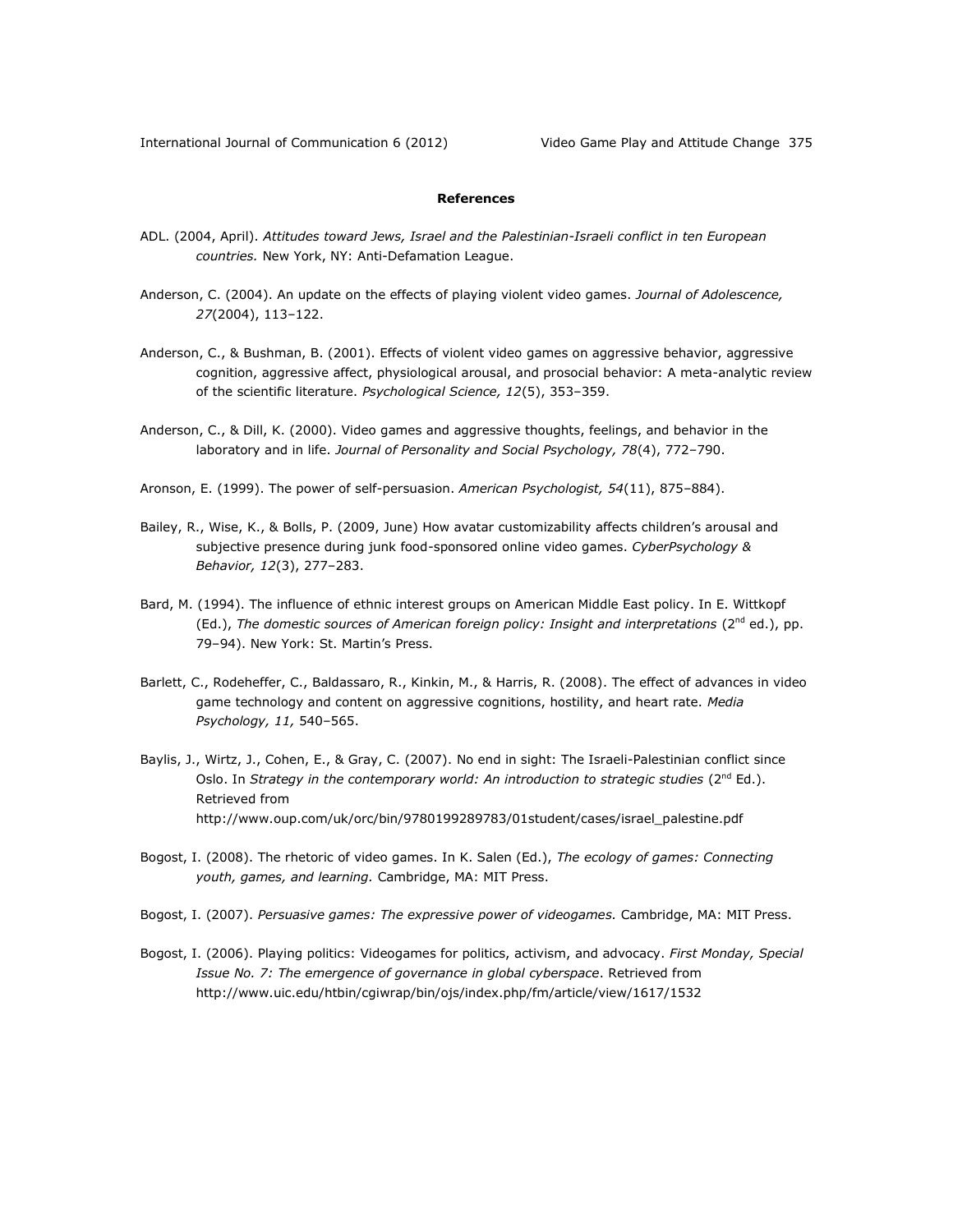# **References**

- ADL. (2004, April). *Attitudes toward Jews, Israel and the Palestinian-Israeli conflict in ten European countries.* New York, NY: Anti-Defamation League.
- Anderson, C. (2004). An update on the effects of playing violent video games. *Journal of Adolescence, 27*(2004), 113–122.
- Anderson, C., & Bushman, B. (2001). Effects of violent video games on aggressive behavior, aggressive cognition, aggressive affect, physiological arousal, and prosocial behavior: A meta-analytic review of the scientific literature. *Psychological Science, 12*(5), 353–359.
- Anderson, C., & Dill, K. (2000). Video games and aggressive thoughts, feelings, and behavior in the laboratory and in life. *Journal of Personality and Social Psychology, 78*(4), 772–790.
- Aronson, E. (1999). The power of self-persuasion. *American Psychologist, 54*(11), 875–884).
- Bailey, R., Wise, K., & Bolls, P. (2009, June) How avatar customizability affects children's arousal and subjective presence during junk food-sponsored online video games. *CyberPsychology & Behavior, 12*(3), 277–283.
- Bard, M. (1994). The influence of ethnic interest groups on American Middle East policy. In E. Wittkopf (Ed.), The domestic sources of American foreign policy: Insight and interpretations (2<sup>nd</sup> ed.), pp. 79–94). New York: St. Martin's Press.
- Barlett, C., Rodeheffer, C., Baldassaro, R., Kinkin, M., & Harris, R. (2008). The effect of advances in video game technology and content on aggressive cognitions, hostility, and heart rate. *Media Psychology, 11,* 540–565.
- Baylis, J., Wirtz, J., Cohen, E., & Gray, C. (2007). No end in sight: The Israeli-Palestinian conflict since Oslo. In *Strategy in the contemporary world: An introduction to strategic studies* (2<sup>nd</sup> Ed.). Retrieved from http://www.oup.com/uk/orc/bin/9780199289783/01student/cases/israel\_palestine.pdf
- Bogost, I. (2008). The rhetoric of video games. In K. Salen (Ed.), *The ecology of games: Connecting youth, games, and learning.* Cambridge, MA: MIT Press.
- Bogost, I. (2007). *Persuasive games: The expressive power of videogames.* Cambridge, MA: MIT Press.
- Bogost, I. (2006). Playing politics: Videogames for politics, activism, and advocacy. *First Monday, Special Issue No. 7: The emergence of governance in global cyberspace*. Retrieved from http://www.uic.edu/htbin/cgiwrap/bin/ojs/index.php/fm/article/view/1617/1532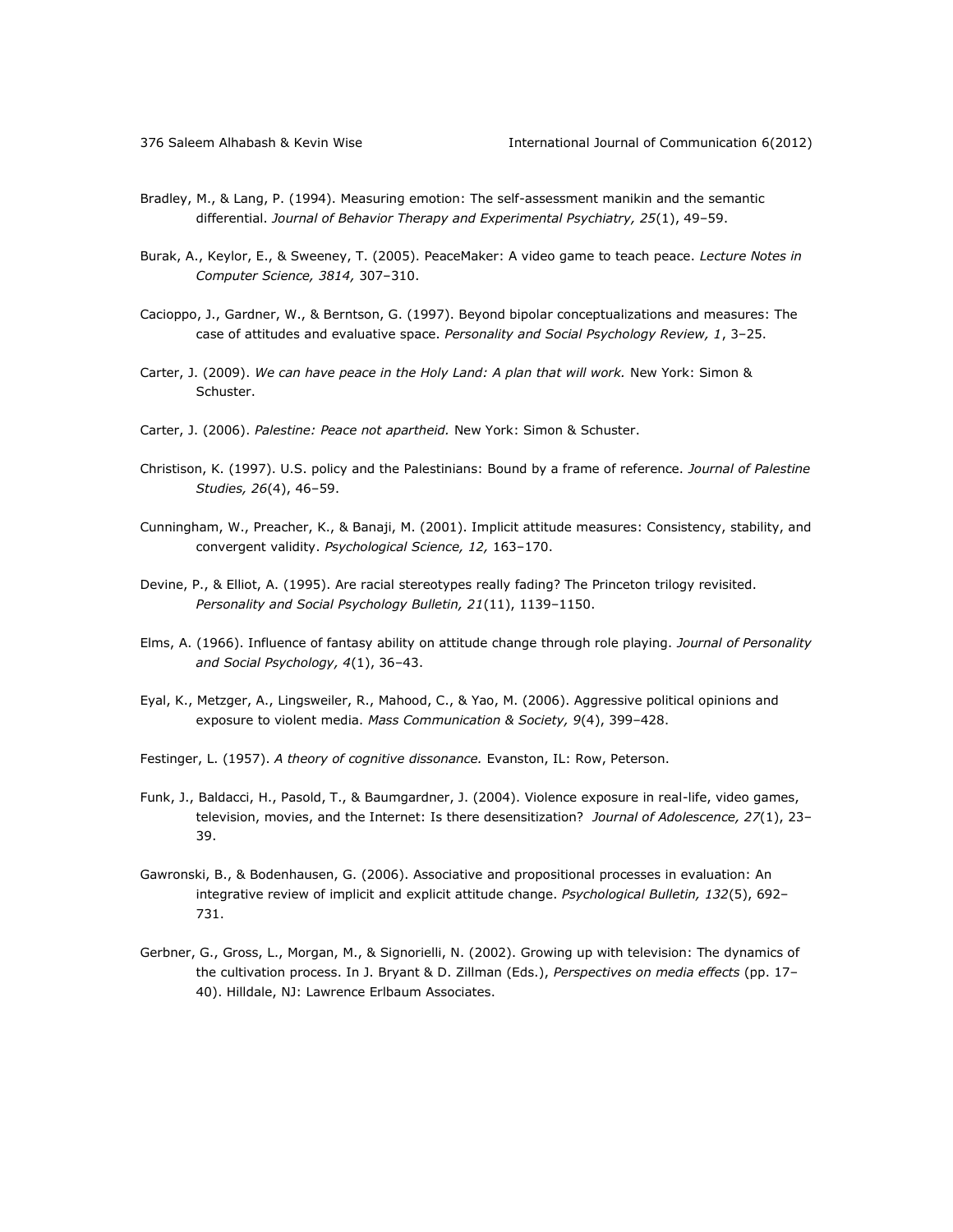- Bradley, M., & Lang, P. (1994). Measuring emotion: The self-assessment manikin and the semantic differential. *Journal of Behavior Therapy and Experimental Psychiatry, 25*(1), 49–59.
- Burak, A., Keylor, E., & Sweeney, T. (2005). PeaceMaker: A video game to teach peace. *Lecture Notes in Computer Science, 3814,* 307–310.
- Cacioppo, J., Gardner, W., & Berntson, G. (1997). Beyond bipolar conceptualizations and measures: The case of attitudes and evaluative space. *Personality and Social Psychology Review, 1*, 3–25.
- Carter, J. (2009). We can have peace in the Holy Land: A plan that will work. New York: Simon & Schuster.
- Carter, J. (2006). *Palestine: Peace not apartheid.* New York: Simon & Schuster.
- Christison, K. (1997). U.S. policy and the Palestinians: Bound by a frame of reference. *Journal of Palestine Studies, 26*(4), 46–59.
- Cunningham, W., Preacher, K., & Banaji, M. (2001). Implicit attitude measures: Consistency, stability, and convergent validity. *Psychological Science, 12,* 163–170.
- Devine, P., & Elliot, A. (1995). Are racial stereotypes really fading? The Princeton trilogy revisited. *Personality and Social Psychology Bulletin, 21*(11), 1139–1150.
- Elms, A. (1966). Influence of fantasy ability on attitude change through role playing. *Journal of Personality and Social Psychology, 4*(1), 36–43.
- Eyal, K., Metzger, A., Lingsweiler, R., Mahood, C., & Yao, M. (2006). Aggressive political opinions and exposure to violent media. *Mass Communication & Society, 9*(4), 399–428.
- Festinger, L. (1957). *A theory of cognitive dissonance.* Evanston, IL: Row, Peterson.
- Funk, J., Baldacci, H., Pasold, T., & Baumgardner, J. (2004). Violence exposure in real-life, video games, television, movies, and the Internet: Is there desensitization? *Journal of Adolescence, 27*(1), 23– 39.
- Gawronski, B., & Bodenhausen, G. (2006). Associative and propositional processes in evaluation: An integrative review of implicit and explicit attitude change. *Psychological Bulletin, 132*(5), 692– 731.
- Gerbner, G., Gross, L., Morgan, M., & Signorielli, N. (2002). Growing up with television: The dynamics of the cultivation process. In J. Bryant & D. Zillman (Eds.), *Perspectives on media effects* (pp. 17– 40). Hilldale, NJ: Lawrence Erlbaum Associates.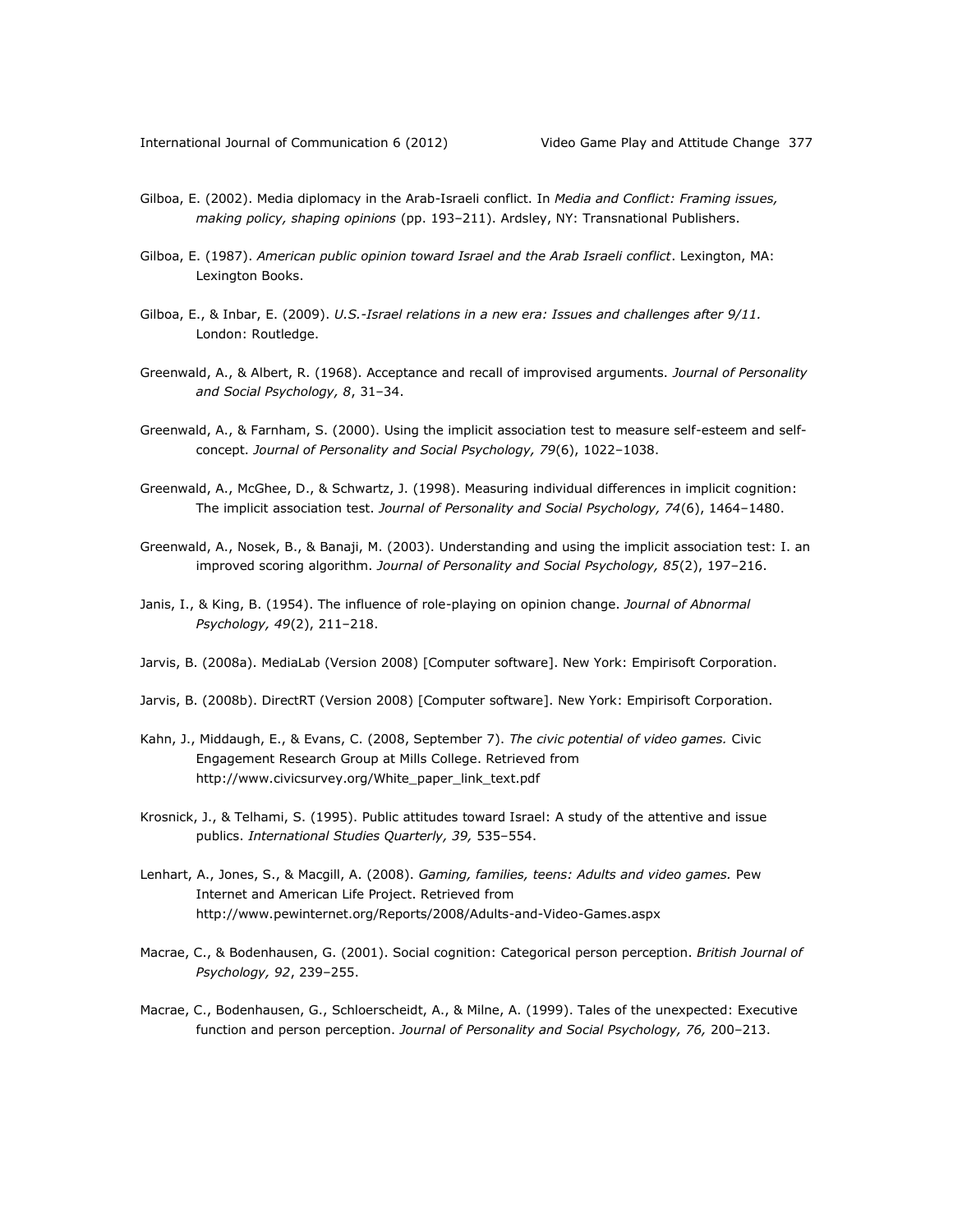- Gilboa, E. (2002). Media diplomacy in the Arab-Israeli conflict. In *Media and Conflict: Framing issues, making policy, shaping opinions* (pp. 193–211). Ardsley, NY: Transnational Publishers.
- Gilboa, E. (1987). *American public opinion toward Israel and the Arab Israeli conflict*. Lexington, MA: Lexington Books.
- Gilboa, E., & Inbar, E. (2009). *U.S.-Israel relations in a new era: Issues and challenges after 9/11.*  London: Routledge.
- Greenwald, A., & Albert, R. (1968). Acceptance and recall of improvised arguments. *Journal of Personality and Social Psychology, 8*, 31–34.
- Greenwald, A., & Farnham, S. (2000). Using the implicit association test to measure self-esteem and selfconcept. *Journal of Personality and Social Psychology, 79*(6), 1022–1038.
- Greenwald, A., McGhee, D., & Schwartz, J. (1998). Measuring individual differences in implicit cognition: The implicit association test. *Journal of Personality and Social Psychology, 74*(6), 1464–1480.
- Greenwald, A., Nosek, B., & Banaji, M. (2003). Understanding and using the implicit association test: I. an improved scoring algorithm. *Journal of Personality and Social Psychology, 85*(2), 197–216.
- Janis, I., & King, B. (1954). The influence of role-playing on opinion change. *Journal of Abnormal Psychology, 49*(2), 211–218.
- Jarvis, B. (2008a). MediaLab (Version 2008) [Computer software]. New York: Empirisoft Corporation.
- Jarvis, B. (2008b). DirectRT (Version 2008) [Computer software]. New York: Empirisoft Corporation.
- Kahn, J., Middaugh, E., & Evans, C. (2008, September 7). *The civic potential of video games.* Civic Engagement Research Group at Mills College. Retrieved from http://www.civicsurvey.org/White\_paper\_link\_text.pdf
- Krosnick, J., & Telhami, S. (1995). Public attitudes toward Israel: A study of the attentive and issue publics. *International Studies Quarterly, 39,* 535–554.
- Lenhart, A., Jones, S., & Macgill, A. (2008). *Gaming, families, teens: Adults and video games.* Pew Internet and American Life Project. Retrieved from http://www.pewinternet.org/Reports/2008/Adults-and-Video-Games.aspx
- Macrae, C., & Bodenhausen, G. (2001). Social cognition: Categorical person perception. *British Journal of Psychology, 92*, 239–255.
- Macrae, C., Bodenhausen, G., Schloerscheidt, A., & Milne, A. (1999). Tales of the unexpected: Executive function and person perception. *Journal of Personality and Social Psychology, 76,* 200–213.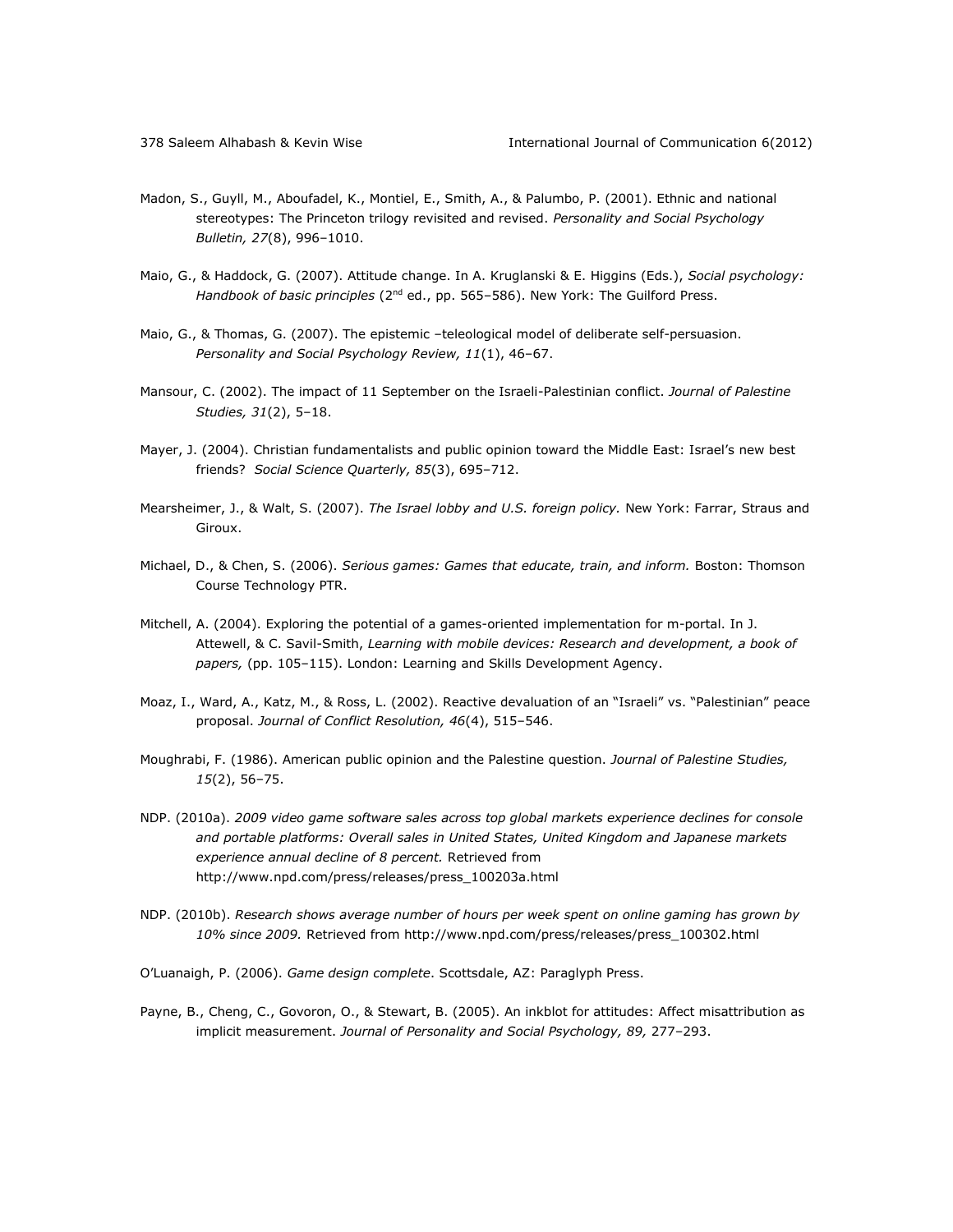- Madon, S., Guyll, M., Aboufadel, K., Montiel, E., Smith, A., & Palumbo, P. (2001). Ethnic and national stereotypes: The Princeton trilogy revisited and revised. *Personality and Social Psychology Bulletin, 27*(8), 996–1010.
- Maio, G., & Haddock, G. (2007). Attitude change. In A. Kruglanski & E. Higgins (Eds.), *Social psychology: Handbook of basic principles* (2<sup>nd</sup> ed., pp. 565–586). New York: The Guilford Press.
- Maio, G., & Thomas, G. (2007). The epistemic –teleological model of deliberate self-persuasion. *Personality and Social Psychology Review, 11*(1), 46–67.
- Mansour, C. (2002). The impact of 11 September on the Israeli-Palestinian conflict. *Journal of Palestine Studies, 31*(2), 5–18.
- Mayer, J. (2004). Christian fundamentalists and public opinion toward the Middle East: Israel's new best friends? *Social Science Quarterly, 85*(3), 695–712.
- Mearsheimer, J., & Walt, S. (2007). *The Israel lobby and U.S. foreign policy.* New York: Farrar, Straus and Giroux.
- Michael, D., & Chen, S. (2006). *Serious games: Games that educate, train, and inform.* Boston: Thomson Course Technology PTR.
- Mitchell, A. (2004). Exploring the potential of a games-oriented implementation for m-portal. In J. Attewell, & C. Savil-Smith, *Learning with mobile devices: Research and development, a book of papers,* (pp. 105–115). London: Learning and Skills Development Agency.
- Moaz, I., Ward, A., Katz, M., & Ross, L. (2002). Reactive devaluation of an "Israeli" vs. "Palestinian" peace proposal. *Journal of Conflict Resolution, 46*(4), 515–546.
- Moughrabi, F. (1986). American public opinion and the Palestine question. *Journal of Palestine Studies, 15*(2), 56–75.
- NDP. (2010a). *2009 video game software sales across top global markets experience declines for console and portable platforms: Overall sales in United States, United Kingdom and Japanese markets experience annual decline of 8 percent.* Retrieved from http://www.npd.com/press/releases/press\_100203a.html
- NDP. (2010b). *Research shows average number of hours per week spent on online gaming has grown by 10% since 2009.* Retrieved from http://www.npd.com/press/releases/press\_100302.html
- O'Luanaigh, P. (2006). *Game design complete*. Scottsdale, AZ: Paraglyph Press.
- Payne, B., Cheng, C., Govoron, O., & Stewart, B. (2005). An inkblot for attitudes: Affect misattribution as implicit measurement. *Journal of Personality and Social Psychology, 89,* 277–293.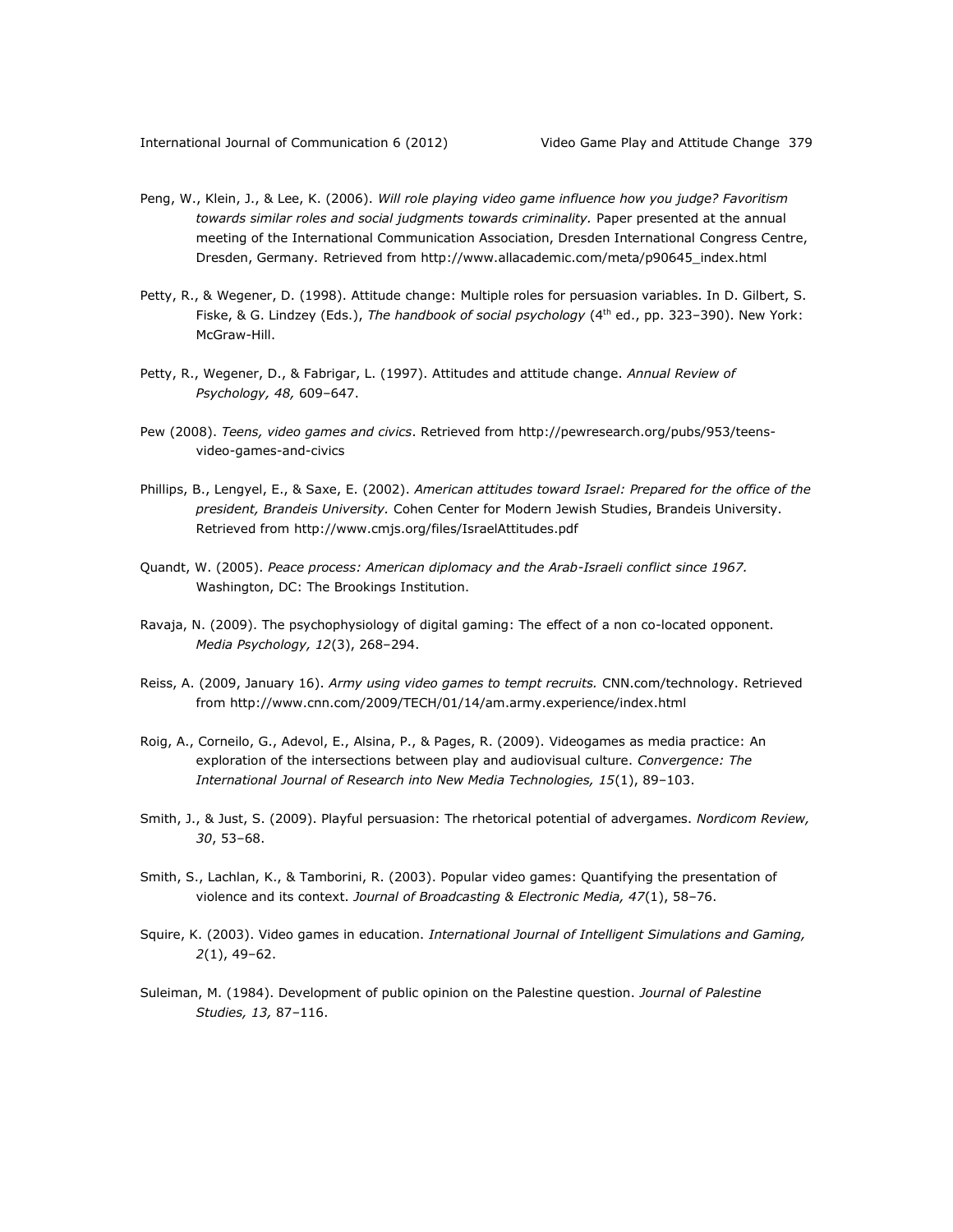- Peng, W., Klein, J., & Lee, K. (2006). *Will role playing video game influence how you judge? Favoritism towards similar roles and social judgments towards criminality.* Paper presented at the annual meeting of the International Communication Association, Dresden International Congress Centre, Dresden, Germany*.* Retrieved from http://www.allacademic.com/meta/p90645\_index.html
- Petty, R., & Wegener, D. (1998). Attitude change: Multiple roles for persuasion variables. In D. Gilbert, S. Fiske, & G. Lindzey (Eds.), *The handbook of social psychology* (4th ed., pp. 323–390). New York: McGraw-Hill.
- Petty, R., Wegener, D., & Fabrigar, L. (1997). Attitudes and attitude change. *Annual Review of Psychology, 48,* 609–647.
- Pew (2008). *Teens, video games and civics*. Retrieved from http://pewresearch.org/pubs/953/teensvideo-games-and-civics
- Phillips, B., Lengyel, E., & Saxe, E. (2002). *American attitudes toward Israel: Prepared for the office of the president, Brandeis University.* Cohen Center for Modern Jewish Studies, Brandeis University. Retrieved from http://www.cmjs.org/files/IsraelAttitudes.pdf
- Quandt, W. (2005). *Peace process: American diplomacy and the Arab-Israeli conflict since 1967.* Washington, DC: The Brookings Institution.
- Ravaja, N. (2009). The psychophysiology of digital gaming: The effect of a non co-located opponent. *Media Psychology, 12*(3), 268–294.
- Reiss, A. (2009, January 16). *Army using video games to tempt recruits.* CNN.com/technology. Retrieved from http://www.cnn.com/2009/TECH/01/14/am.army.experience/index.html
- Roig, A., Corneilo, G., Adevol, E., Alsina, P., & Pages, R. (2009). Videogames as media practice: An exploration of the intersections between play and audiovisual culture. *Convergence: The International Journal of Research into New Media Technologies, 15*(1), 89–103.
- Smith, J., & Just, S. (2009). Playful persuasion: The rhetorical potential of advergames. *Nordicom Review, 30*, 53–68.
- Smith, S., Lachlan, K., & Tamborini, R. (2003). Popular video games: Quantifying the presentation of violence and its context. *Journal of Broadcasting & Electronic Media, 47*(1), 58–76.
- Squire, K. (2003). Video games in education. *International Journal of Intelligent Simulations and Gaming, 2*(1), 49–62.
- Suleiman, M. (1984). Development of public opinion on the Palestine question. *Journal of Palestine Studies, 13,* 87–116.